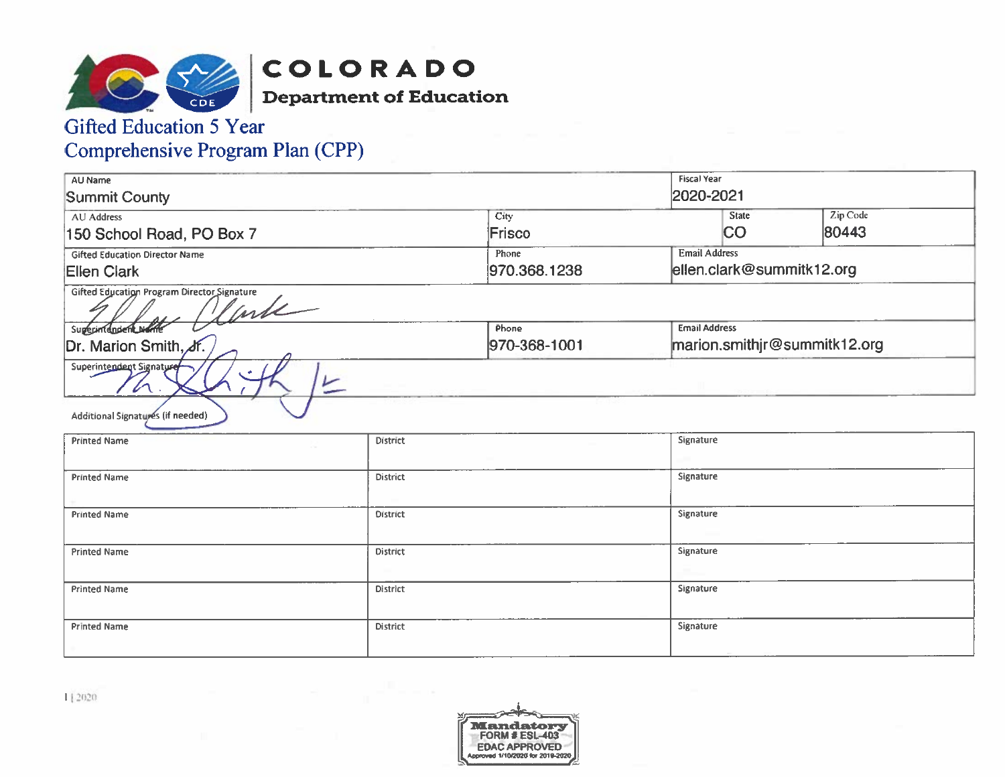

# **Gifted Education 5 Year**

| Comprehensive Program Plan (CPP) |  |  |  |  |
|----------------------------------|--|--|--|--|
|----------------------------------|--|--|--|--|

| AU Name                                               |              | <b>Fiscal Year</b>           |          |  |
|-------------------------------------------------------|--------------|------------------------------|----------|--|
| Summit County                                         |              | 2020-2021                    |          |  |
| AU Address                                            | City         | <b>State</b>                 | Zip Code |  |
| Frisco<br>150 School Road, PO Box 7                   |              | CO                           | 80443    |  |
| <b>Gifted Education Director Name</b>                 | Phone        | <b>Email Address</b>         |          |  |
| <b>Ellen Clark</b>                                    | 970.368.1238 | ellen.clark@summitk12.org    |          |  |
| Gifted Education Program Director Signature<br>will   |              |                              |          |  |
| Superintendent with                                   | Phone        | <b>Email Address</b>         |          |  |
| Dr. Marion Smith, Jr.                                 | 970-368-1001 | marion.smithjr@summitk12.org |          |  |
| Superintendent Signature<br>$\subseteq$<br>$\sqrt{ }$ |              |                              |          |  |
| Additional Signatures (if needed)                     |              |                              |          |  |

| <b>Printed Name</b> | District        | Signature |
|---------------------|-----------------|-----------|
|                     |                 |           |
| <b>Printed Name</b> | District        | Signature |
|                     |                 |           |
| <b>Printed Name</b> | <b>District</b> | Signature |
|                     |                 |           |
| <b>Printed Name</b> | District        | Signature |
|                     |                 |           |
| <b>Printed Name</b> | District        | Signature |
|                     |                 |           |
| <b>Printed Name</b> | <b>District</b> | Signature |
|                     |                 |           |

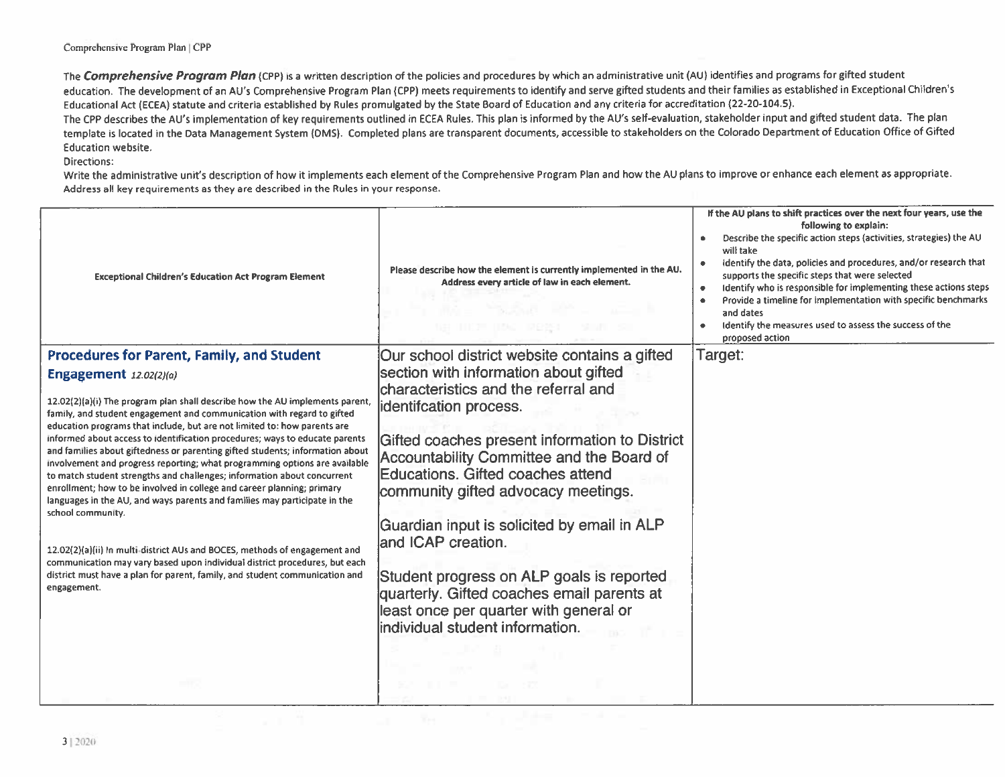The Comprehensive Program Plan (CPP) is a written description of the policies and procedures by which an administrative unit (AU) identifies and programs for gifted student education. The development of an AU's Comprehensive Program Plan (CPP) meets requirements to identify and serve gifted students and their families as established in Exceptional Children's Educational Act (ECEA) statute and criteria established by Rules promulgated by the State Board of Education and any criteria for accreditation (22-20-104.5).

The CPP describes the AU's implementation of key requirements outlined in ECEA Rules. This plan is informed by the AU's self-evaluation, stakeholder input and gifted student data. The plan template is located in the Data Management System (DMS). Completed plans are transparent documents, accessible to stakeholders on the Colorado Department of Education Office of Gifted **Education website.** 

Directions:

Write the administrative unit's description of how it implements each element of the Comprehensive Program Plan and how the AU plans to improve or enhance each element as appropriate. Address all key requirements as they are described in the Rules in your response.

| <b>Exceptional Children's Education Act Program Element</b>                                                                                                                                                                                                                                                                                                                                                                                                                                                                                                                                                                                                                                                                                                                                                                                                                                                                                                                                       | Please describe how the element is currently implemented in the AU.<br>Address every article of law in each element.<br><b>THE THEFT HOLD DRIVEL STUP ST</b>                                                                                                                                                                                                                                                                                                                            | If the AU plans to shift practices over the next four years, use the<br>following to explain:<br>Describe the specific action steps (activities, strategies) the AU<br>will take<br>Identify the data, policies and procedures, and/or research that<br>۰<br>supports the specific steps that were selected<br>Identify who is responsible for implementing these actions steps<br>$\bullet$<br>Provide a timeline for implementation with specific benchmarks<br>and dates<br>Identify the measures used to assess the success of the<br>proposed action |
|---------------------------------------------------------------------------------------------------------------------------------------------------------------------------------------------------------------------------------------------------------------------------------------------------------------------------------------------------------------------------------------------------------------------------------------------------------------------------------------------------------------------------------------------------------------------------------------------------------------------------------------------------------------------------------------------------------------------------------------------------------------------------------------------------------------------------------------------------------------------------------------------------------------------------------------------------------------------------------------------------|-----------------------------------------------------------------------------------------------------------------------------------------------------------------------------------------------------------------------------------------------------------------------------------------------------------------------------------------------------------------------------------------------------------------------------------------------------------------------------------------|-----------------------------------------------------------------------------------------------------------------------------------------------------------------------------------------------------------------------------------------------------------------------------------------------------------------------------------------------------------------------------------------------------------------------------------------------------------------------------------------------------------------------------------------------------------|
| <b>Procedures for Parent, Family, and Student</b>                                                                                                                                                                                                                                                                                                                                                                                                                                                                                                                                                                                                                                                                                                                                                                                                                                                                                                                                                 | Our school district website contains a gifted                                                                                                                                                                                                                                                                                                                                                                                                                                           | Target:                                                                                                                                                                                                                                                                                                                                                                                                                                                                                                                                                   |
| <b>Engagement</b> 12.02(2)(a)                                                                                                                                                                                                                                                                                                                                                                                                                                                                                                                                                                                                                                                                                                                                                                                                                                                                                                                                                                     | section with information about gifted                                                                                                                                                                                                                                                                                                                                                                                                                                                   |                                                                                                                                                                                                                                                                                                                                                                                                                                                                                                                                                           |
| 12.02(2)(a)(i) The program plan shall describe how the AU implements parent,<br>family, and student engagement and communication with regard to gifted<br>education programs that include, but are not limited to: how parents are<br>informed about access to identification procedures; ways to educate parents<br>and families about giftedness or parenting gifted students; information about<br>involvement and progress reporting; what programming options are available<br>to match student strengths and challenges; information about concurrent<br>enrollment; how to be involved in college and career planning; primary<br>languages in the AU, and ways parents and families may participate in the<br>school community.<br>12.02(2)(a)(ii) In multi-district AUs and BOCES, methods of engagement and<br>communication may vary based upon individual district procedures, but each<br>district must have a plan for parent, family, and student communication and<br>engagement. | characteristics and the referral and<br>lidentifcation process.<br>Gifted coaches present information to District<br>Accountability Committee and the Board of<br>Educations. Gifted coaches attend<br>community gifted advocacy meetings.<br>Guardian input is solicited by email in ALP<br>and ICAP creation.<br>Student progress on ALP goals is reported<br>quarterly. Gifted coaches email parents at<br>least once per quarter with general or<br>individual student information. |                                                                                                                                                                                                                                                                                                                                                                                                                                                                                                                                                           |
|                                                                                                                                                                                                                                                                                                                                                                                                                                                                                                                                                                                                                                                                                                                                                                                                                                                                                                                                                                                                   |                                                                                                                                                                                                                                                                                                                                                                                                                                                                                         |                                                                                                                                                                                                                                                                                                                                                                                                                                                                                                                                                           |
|                                                                                                                                                                                                                                                                                                                                                                                                                                                                                                                                                                                                                                                                                                                                                                                                                                                                                                                                                                                                   |                                                                                                                                                                                                                                                                                                                                                                                                                                                                                         |                                                                                                                                                                                                                                                                                                                                                                                                                                                                                                                                                           |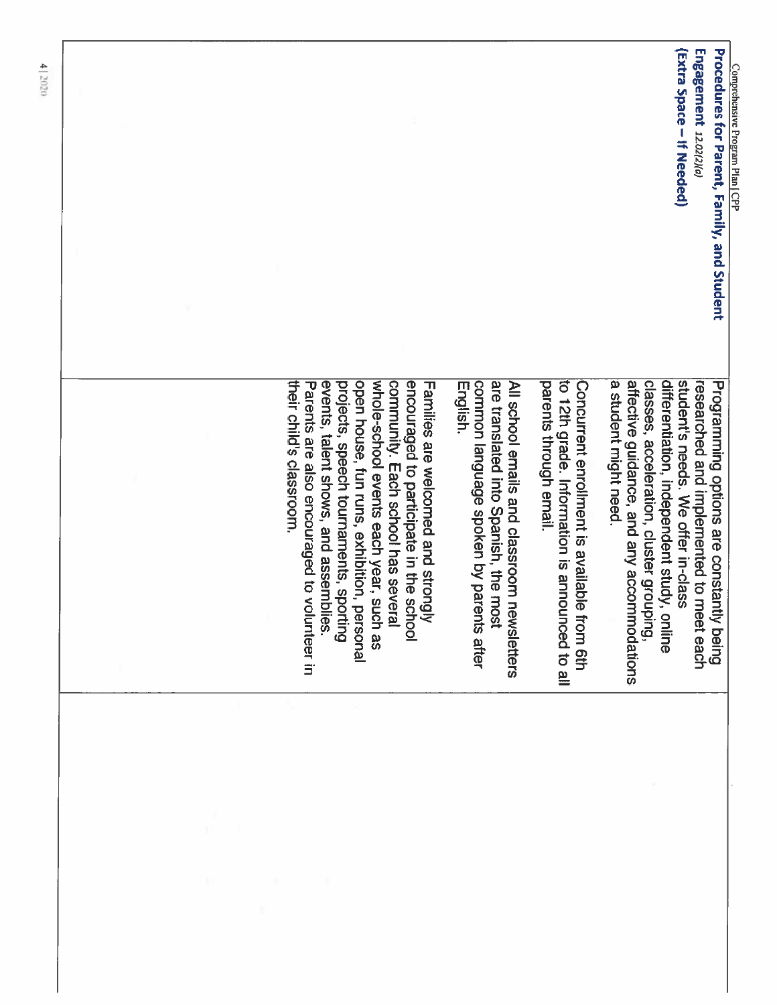| 4 2020 |                          |                                                                                                                                                                                                                                                                                                                                               |                                                                                                                                             |                                                                                                                            | (Extra Space – if Needed)                                                                                                                                            | Engagement 12.02(2)(a)<br>Procedures for Parent, Family, and Student<br>Comprehensive Program Plan   CPP                      |
|--------|--------------------------|-----------------------------------------------------------------------------------------------------------------------------------------------------------------------------------------------------------------------------------------------------------------------------------------------------------------------------------------------|---------------------------------------------------------------------------------------------------------------------------------------------|----------------------------------------------------------------------------------------------------------------------------|----------------------------------------------------------------------------------------------------------------------------------------------------------------------|-------------------------------------------------------------------------------------------------------------------------------|
|        | their child's classroom. | events, talent shows, and assemblies.<br>projects, speech tournaments, sporting<br>open house, fun runs, exhibition, personal<br>whole-school events each year, such as<br>community. Each school has several<br>encouraged to participate in the school<br>Families are welcomed and strongly<br>Parents are also encouraged to volunteer in | common language spoken by parents after<br>are translated into Spanish, the most<br>All school emails and classroom newsletters<br>English. | to 12th grade. Information is announced to all<br>parents through email.<br>Concurrent enrollment is available<br>from 6th | affective guidance, and any accommodations<br>classes, acceleration, cluster group<br>differentiation, independent study,<br>a student might need.<br>pmg,<br>online | student's needs. We offer in-class<br>researched and implemented to m<br>Programming options are constantly being<br>eet each |
|        |                          |                                                                                                                                                                                                                                                                                                                                               |                                                                                                                                             |                                                                                                                            |                                                                                                                                                                      |                                                                                                                               |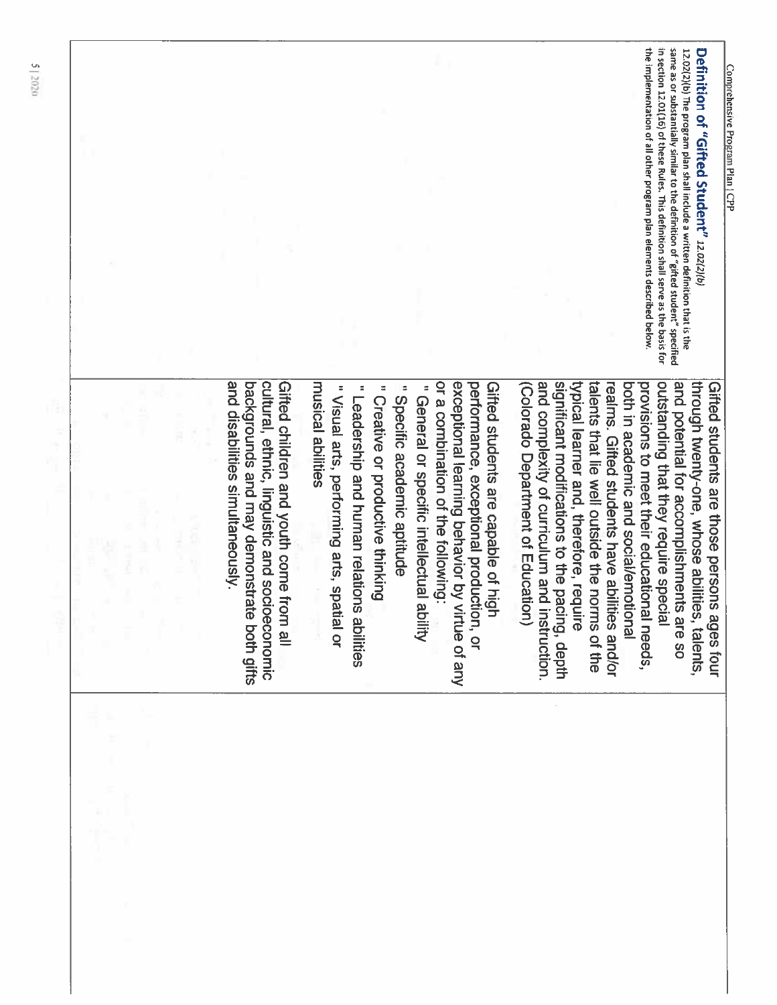# Definition of "Gifted Student" 12.02(2)(b)

same as or substantially similar to the definition of "gifted student" specified in section 12.01(16) of these Rules. This definition shall serve as the basis for the implementation of all other program plan elements described below. 12.02(2)(b) The program plan shall include a written definition that is the

and disabilities simultaneously. outstanding that they require special cultural, ethnic, linguistic and socioeconomic Gifted children and youth come from all musical abilities or a combination of the following: exceptional learning behavior by virtue of any performance, exceptional production, or Gifted students are capable of high and complexity of curriculum and instruction. significant modifications to the pacing, depth both in academic and social/emotional provisions to meet their educational needs, and potential for accomplishments are so backgrounds and may demonstrate both gifts (Colorado Department of Education) typical learner and, therefore, require talents that lie well outside the norms of the through twenty-one, whose abilities, talents, Gifted students are those persons ages four " Visual arts, performing arts, spatial or realms. Gifted students have abilities and/or " Leadership and human relations abilities " Creative or productive thinking " Specific academic aptitude " General or specific intellectual ability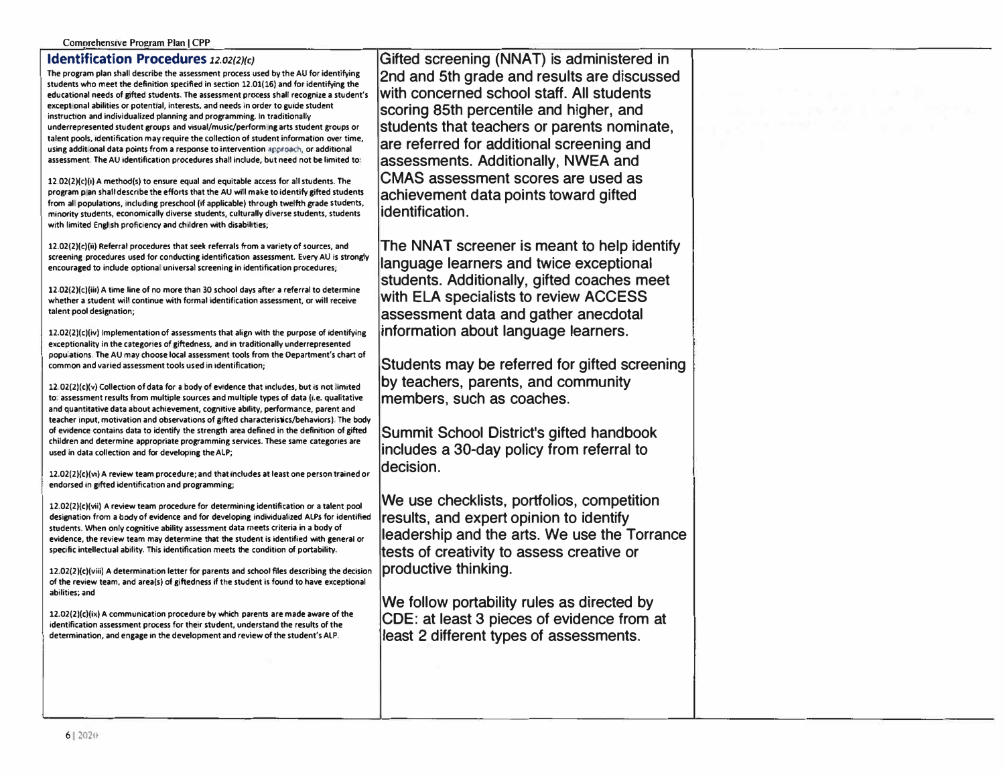### **Identification Procedures** *12.02(2JfcJ*

**The program plan shall describe the assessment process used by the AU for identifying students who meet the definition specified in section 12.01( 16) and for identifying the educational needs of gifted students. The assessment process shall recognize a student's excepli.onal abilities or potential, interests, and needs in order to guide student instruction and individualized planning and programming. In traditionally**  underrepresented student groups and visual/music/performing arts student groups or **talent pools, identification may require the collection of student information over time,**  using additional data points from a response to intervention approach, or additional **assessment. The AU identification procedures shall include, but need not be limited to,** 

**12.02(2)(c)(i) A method(s) to ensure equal and equitable access for all students. The program p an shall describe the efforts that the AU will make to identify gifted students**  from all populations, including preschool (if applicable) through twelfth grade students, **minority students, economically diverse students, culturally diverse students, students with limited Engl'sh proficiency and children with disabilities;** 

**12.02(2)(c)(ii) Referral procedures that seek referrals from a variety of sources, and screening procedures used for conducting identification assessment. Every AU is strongly encouraged to include optional universal screening in identification procedures;** 

**12.02(2)(c)(iii) A time line of no more than 30 school days after a referral to determine whether a student will continue with formal identification assessment, or will receive talent pool designation;** 

**12.02(2)(c)(iv) Implementation of assessments that align with the purpose of identifying exceptionality in the categories of giftedness, and in traditionally underrepresented popu'ations. The AU may choose local assessment tools from the Department's chart of common and varied assessment tools used in identification;** 

**12.02(2)(c)(v) Collection of data for a body of evidence that includes, but is not limited to: assessment results from multiple sources and multiple types of data (1.e. qualitative and quantitative data about achievement, cognitive ability, performance, parent and teacher input, motivation and observations of gifted characteristics/behaviors), The body of evidence contains data to identify the strength area defined in the definition of gifted children and determine appropriate programming services. These same categories are used in data collection and for developing the ALP;** 

**12.02(2)(c){vi) A review team procedure; and that includes at least one person trained or**  endorsed in gifted identification and programming;

**12.02(2)(c)(vii) A review team procedure for determining identification or a talent pool designation from a body of evidence and for developing individualized ALPS for identified students. When only cognitive ability assessment data meets criteria in a body of evidence, the review team may determine that the student is identified with general or specific intellectual ability. This identification meets the condition of portability.** 

**12.02(2 )(c)(viii) A determination letter for parents and school files describing the decision of the review team, and area(s) of giftedness if the student is found to have exceptional abilities; and** 

**12.02(2)(c)(ix) A communication procedure by which parents are made aware of the identification assessment process for their student, understand the results of the determination, and engage in the development and review of the student's ALP.** 

**Gifted screening (NNAT) is administered in 2nd and 5th grade and results are discussed with concerned school staff. All students scoring 85th percentile and higher, and students that teachers or parents nominate, are referred for additional screening and assessments. Additionally, NWEA and CMAS assessment scores are used as achievement data points toward gifted identification.** 

**The NNAT screener is meant to help identify language learners and twice exceptional students. Additionally, gifted coaches meet with ELA specialists to review ACCESS assessment data and gather anecdotal information about language learners.** 

**Students may be referred for gifted screening by teachers, parents, and community members, such as coaches.** 

**Summit School District's gifted handbook includes a 30-day policy from referral to decision.** 

**We use checklists, portfolios, competition results, and expert opinion to identify leadership and the arts. We use the Torrance tests of creativity to assess creative or productive thinking.** 

**We follow portability rules as directed by COE: at least 3 pieces of evidence from at least 2 different types of assessments.**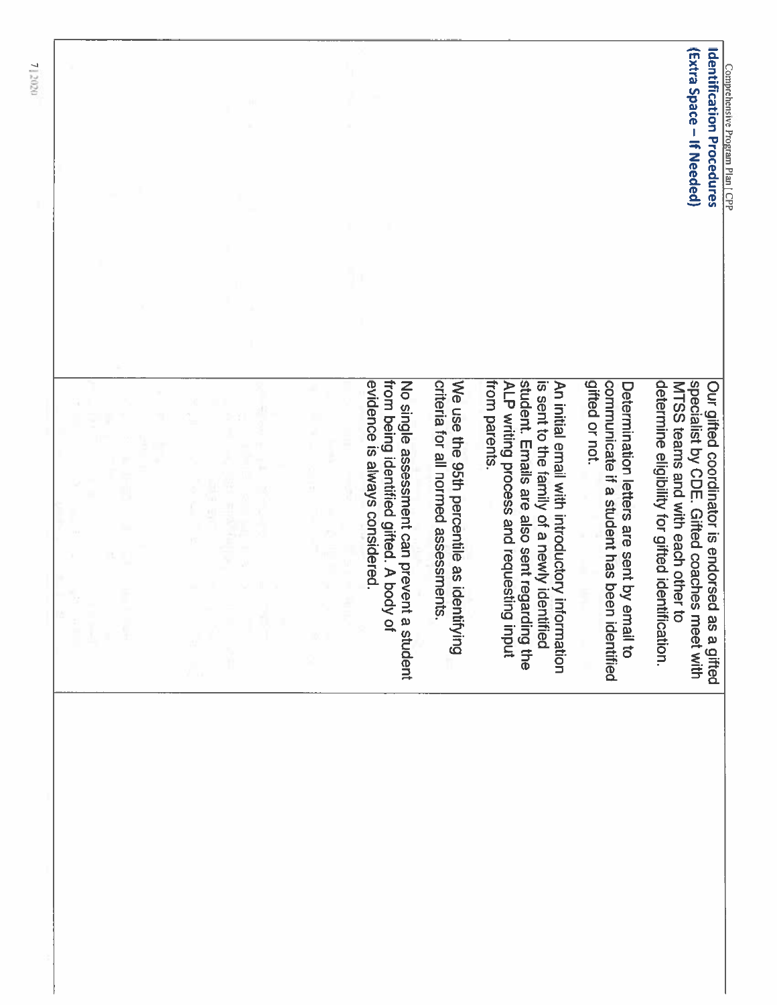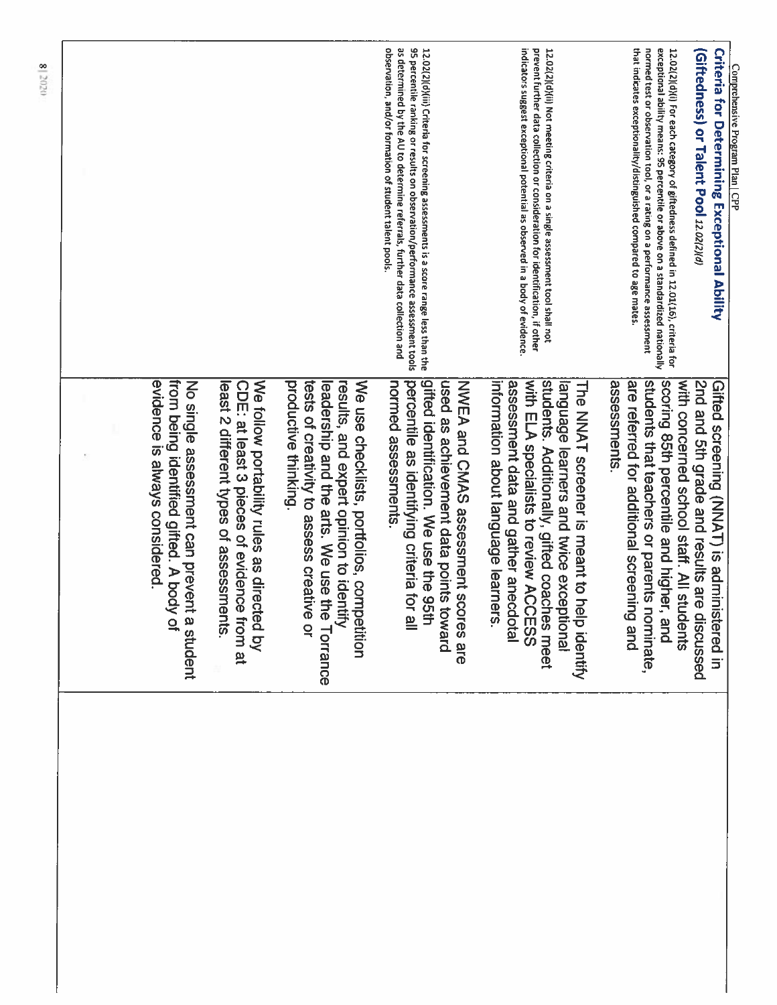|                                                                                                                         |                                                                                                                                     |                                                                                                                                                                                                            | observation, and/or formation of student talent pools.<br>as determined by the AU to determine referrals, further data collection and<br>95 percentile ranking or results on observation/performance assessment tools<br>12.02(2)(d)(iii) Criteria for screening assessments is a score range less than the | indicators suggest exceptional potential as observed in a body of evidence.<br>prevent further data collection or consideration for identification, if other<br>12.02(2)(d)(i) Not meeting criteria on a single assessment tool shall not                      | that indicates exceptionality/distinguished compared to age mates.<br>normed test or observation tool, or a rating on a performance assessment<br>exceptional ability means: 95 percentile or above on a standardized nationally<br>12.02(2)(d)(i) For each category of giftedness defined in 12.01(16), criteria for<br><b>Criteria for Determining Exceptional Ability</b><br>Giftedness) or Talent Pool 12.02/2/47<br><b>Comprenensive Program Plan   CPP</b> |
|-------------------------------------------------------------------------------------------------------------------------|-------------------------------------------------------------------------------------------------------------------------------------|------------------------------------------------------------------------------------------------------------------------------------------------------------------------------------------------------------|-------------------------------------------------------------------------------------------------------------------------------------------------------------------------------------------------------------------------------------------------------------------------------------------------------------|----------------------------------------------------------------------------------------------------------------------------------------------------------------------------------------------------------------------------------------------------------------|------------------------------------------------------------------------------------------------------------------------------------------------------------------------------------------------------------------------------------------------------------------------------------------------------------------------------------------------------------------------------------------------------------------------------------------------------------------|
| evidence is always considered.<br>from being identified gifted. A body of<br>No single assessment can prevent a student | We follow portability rules as directed by<br>least 2 different types of assessments.<br>CDE: at least 3 pieces of evidence from at | productive thinking.<br>tests of creativity to assess creative or<br>We use checklists, portfolios, competition<br>results, and expert opinion to identify<br>leadership and the arts. We use the Torrance | normed assessments<br>percentile as identifying criteria for all<br>gifted identification. We use the 95th<br>used as achievement data points toward<br>NWEA and CMAS assessment scores are                                                                                                                 | information about language learners.<br>students. Additionally, gifted coaches meet<br>with ELA specialists to review ACCESS<br>assessment data and gather anecdotal<br>language learners and twice exceptional<br>The NNAT screener is meant to help identify | students that teachers or parents nominate,<br>with concerned school staff. All students<br>assessments.<br>are referred for additional screening and<br>scoring 85th percentile and higher, and<br>2nd and 5th grade and results are discussed<br>Gifted screening (NNAT) is administered in                                                                                                                                                                    |
|                                                                                                                         |                                                                                                                                     |                                                                                                                                                                                                            |                                                                                                                                                                                                                                                                                                             |                                                                                                                                                                                                                                                                |                                                                                                                                                                                                                                                                                                                                                                                                                                                                  |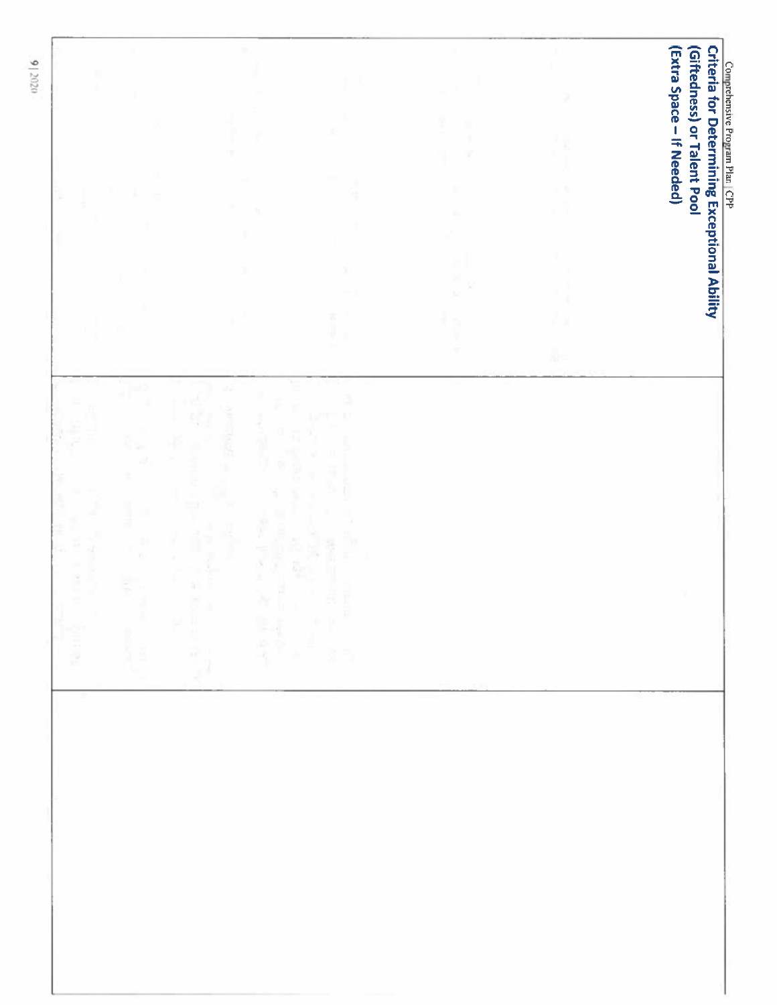|          |                                                        |  |  | (Extra Space - If Needed)<br><b>Criteria for Determining Exceptional Ability</b><br>Giftedness) or Talent Pool<br>Comprehensive Program Plan   CPP |
|----------|--------------------------------------------------------|--|--|----------------------------------------------------------------------------------------------------------------------------------------------------|
| her<br>P | ł<br>$\begin{bmatrix} 12 & 28 \\ 11 & 1 \end{bmatrix}$ |  |  |                                                                                                                                                    |
|          |                                                        |  |  |                                                                                                                                                    |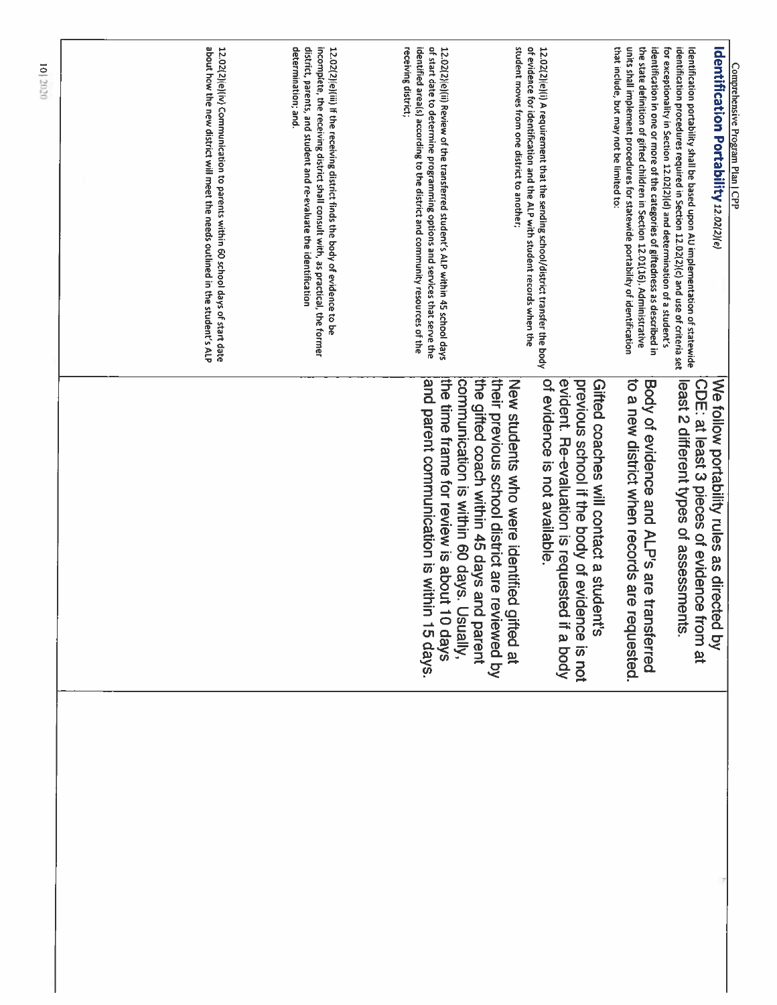|                                                                                                                                                                                                                                                                                          | about how the new district will meet the needs outlined in the student's ALP<br>12.02(2)(e)(iv) Communication to parents within 60 school days of start date                                                                                                                                                                                                                                                                                                                                                                                  |
|------------------------------------------------------------------------------------------------------------------------------------------------------------------------------------------------------------------------------------------------------------------------------------------|-----------------------------------------------------------------------------------------------------------------------------------------------------------------------------------------------------------------------------------------------------------------------------------------------------------------------------------------------------------------------------------------------------------------------------------------------------------------------------------------------------------------------------------------------|
|                                                                                                                                                                                                                                                                                          | determination; and.<br>district, parents, and student and re-evaluate the identification<br>12.02(2)(e)(iii) If the receiving district finds the body of evidence to be<br>incomplete, the receiving district shall consult with, as practical, the former                                                                                                                                                                                                                                                                                    |
| and parent communication is within 15 days.<br>the time frame for review is about 10 days<br>communication is within 60 days.<br>the gifted coach within 45 days and parent<br>Usually,                                                                                                  | receiving district;<br>identified area(s) according to the district and community resources of the<br>of start date to determine programming options and services that serve the<br>12.02(2)(e)(ii) Review of the transferred student's ALP within 45 school days                                                                                                                                                                                                                                                                             |
| their previous school district are reviewed by<br>of evidence is not available.<br>evident. Re-evaluation is requested if a body<br>New strudents who were identified<br>previous school if the body of evidence is not<br>Gifted coaches will contact a student's<br><b>I</b> gifted at | student moves from one district to another;<br>of evidence for identification and the ALP with student records when the<br>12.02(2)(e)(i) A requirement that the sending school/district transfer the body                                                                                                                                                                                                                                                                                                                                    |
| least 2 different types of assessments.<br>to a new district when records are<br>Body of evidence and ALP's are transferred<br>CDE: at least 3 pieces of evidence from at<br>requested.                                                                                                  | identification in one or more of the categories of giftedness as described in<br>that include, but may not be limited to:<br>units shall implement procedures for statewide portability of identification<br>the state definition of gifted children in Section 12.01(16). Administrative<br>for exceptionality in Section 12.02(2)(d) and determination of a student's<br>identification procedures required in Section 12.02(2)(c) and use of criteria set<br>Identification portability shall be based upon AU implementation of statewide |
| We follow portability rules as directed by                                                                                                                                                                                                                                               | Identification Portability 12.02/2/e<br>Comprehensive Program Plan   CPP                                                                                                                                                                                                                                                                                                                                                                                                                                                                      |

 $10^{6}$  (2020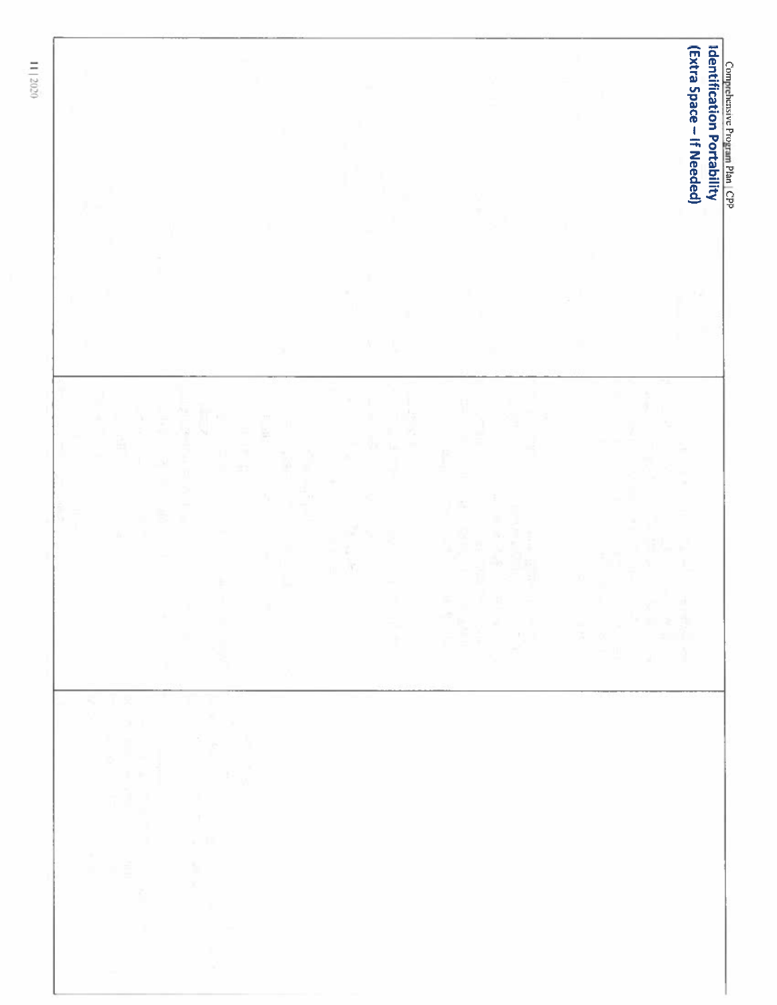|                                                                                                                                           |                                                                                                                                        |   |                                                                  | (Extra Space - If Needed)<br><b>Identification Portability</b>                  |
|-------------------------------------------------------------------------------------------------------------------------------------------|----------------------------------------------------------------------------------------------------------------------------------------|---|------------------------------------------------------------------|---------------------------------------------------------------------------------|
|                                                                                                                                           |                                                                                                                                        |   |                                                                  |                                                                                 |
|                                                                                                                                           |                                                                                                                                        |   |                                                                  |                                                                                 |
| $\mathcal{R}$                                                                                                                             | $\mathbbm{1}$                                                                                                                          | ì | 抸<br>F<br>ś<br>a,<br>$\mathbb{R}^n$<br>$\mathcal{N}_2$ . If<br>ä | 三国<br>ć.<br>$\gtrsim$<br>$\frac{\pi}{2}$ and<br>$\triangle_{\rm II}$<br>ğ,<br>ú |
| TR.<br>5<br>$\mathbb{R}^n$ . If<br>Ħ<br>t,<br>b.<br>$\pi$<br>$\mathbb{H}$<br>$\alpha$<br>ħ.<br>$\blacksquare$<br>$\mathbb{X}$<br>U.<br>m. | X<br>St.<br>$\frac{1}{M}$<br>$\mathbb{R}^2$<br>$\mathbb{R}$<br>$\overline{\mathbf{E}}$<br>$\mathbf{r}$ . $\mathbf{H}$<br>H.<br>T,<br>W |   |                                                                  |                                                                                 |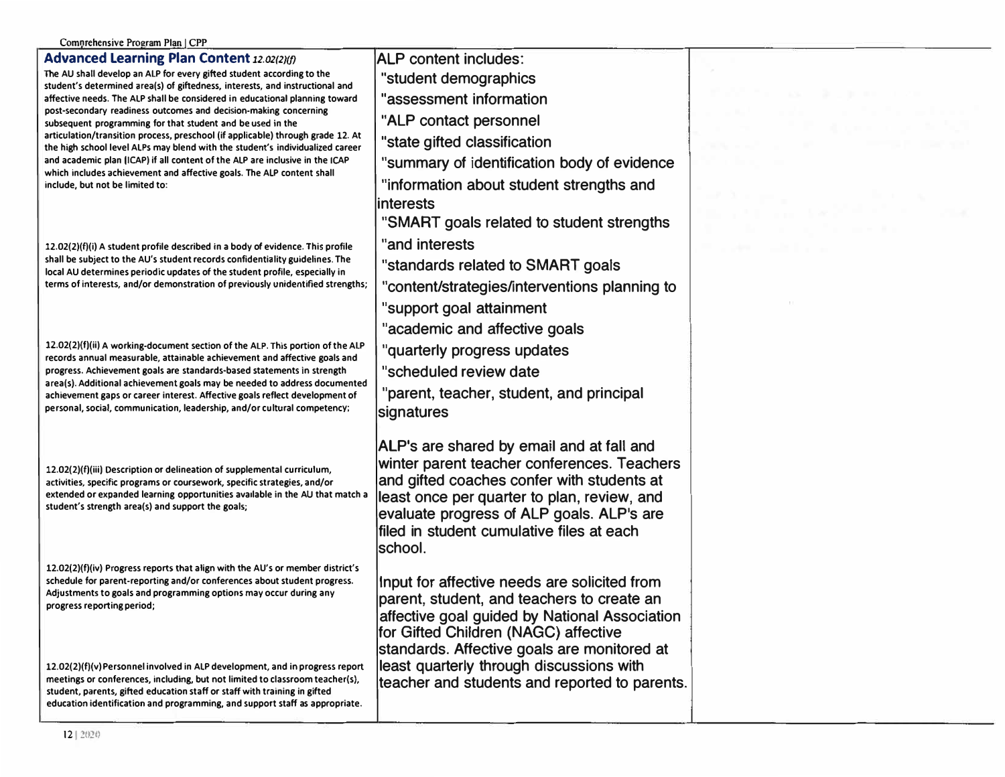| Comprehensive Program Plan   CPP                                                                                                                                                                                                                                                                                                                                                                                                                                                                                                                                                          |                                                                                                                                                                                                                                                                                                                                 |  |
|-------------------------------------------------------------------------------------------------------------------------------------------------------------------------------------------------------------------------------------------------------------------------------------------------------------------------------------------------------------------------------------------------------------------------------------------------------------------------------------------------------------------------------------------------------------------------------------------|---------------------------------------------------------------------------------------------------------------------------------------------------------------------------------------------------------------------------------------------------------------------------------------------------------------------------------|--|
| <b>Advanced Learning Plan Content 12.02(2)(f)</b>                                                                                                                                                                                                                                                                                                                                                                                                                                                                                                                                         | <b>ALP content includes:</b>                                                                                                                                                                                                                                                                                                    |  |
| The AU shall develop an ALP for every gifted student according to the<br>student's determined area(s) of giftedness, interests, and instructional and                                                                                                                                                                                                                                                                                                                                                                                                                                     | "student demographics                                                                                                                                                                                                                                                                                                           |  |
| affective needs. The ALP shall be considered in educational planning toward                                                                                                                                                                                                                                                                                                                                                                                                                                                                                                               | "assessment information                                                                                                                                                                                                                                                                                                         |  |
| post-secondary readiness outcomes and decision-making concerning<br>subsequent programming for that student and be used in the                                                                                                                                                                                                                                                                                                                                                                                                                                                            | "ALP contact personnel                                                                                                                                                                                                                                                                                                          |  |
| articulation/transition process, preschool (if applicable) through grade 12. At                                                                                                                                                                                                                                                                                                                                                                                                                                                                                                           | "state gifted classification                                                                                                                                                                                                                                                                                                    |  |
| the high school level ALPs may blend with the student's individualized career<br>and academic plan (ICAP) if all content of the ALP are inclusive in the ICAP<br>which includes achievement and affective goals. The ALP content shall<br>include, but not be limited to:                                                                                                                                                                                                                                                                                                                 | "summary of identification body of evidence                                                                                                                                                                                                                                                                                     |  |
|                                                                                                                                                                                                                                                                                                                                                                                                                                                                                                                                                                                           | "information about student strengths and                                                                                                                                                                                                                                                                                        |  |
|                                                                                                                                                                                                                                                                                                                                                                                                                                                                                                                                                                                           | <b>interests</b>                                                                                                                                                                                                                                                                                                                |  |
|                                                                                                                                                                                                                                                                                                                                                                                                                                                                                                                                                                                           | "SMART goals related to student strengths                                                                                                                                                                                                                                                                                       |  |
| 12.02(2)(f)(i) A student profile described in a body of evidence. This profile<br>shall be subject to the AU's student records confidentiality guidelines. The<br>local AU determines periodic updates of the student profile, especially in<br>terms of interests, and/or demonstration of previously unidentified strengths;                                                                                                                                                                                                                                                            | "and interests                                                                                                                                                                                                                                                                                                                  |  |
|                                                                                                                                                                                                                                                                                                                                                                                                                                                                                                                                                                                           | "standards related to SMART goals                                                                                                                                                                                                                                                                                               |  |
|                                                                                                                                                                                                                                                                                                                                                                                                                                                                                                                                                                                           | "content/strategies/interventions planning to                                                                                                                                                                                                                                                                                   |  |
|                                                                                                                                                                                                                                                                                                                                                                                                                                                                                                                                                                                           | "support goal attainment                                                                                                                                                                                                                                                                                                        |  |
|                                                                                                                                                                                                                                                                                                                                                                                                                                                                                                                                                                                           | "academic and affective goals                                                                                                                                                                                                                                                                                                   |  |
| 12.02(2)(f)(ii) A working-document section of the ALP. This portion of the ALP<br>records annual measurable, attainable achievement and affective goals and                                                                                                                                                                                                                                                                                                                                                                                                                               | "quarterly progress updates                                                                                                                                                                                                                                                                                                     |  |
| progress. Achievement goals are standards-based statements in strength                                                                                                                                                                                                                                                                                                                                                                                                                                                                                                                    | "scheduled review date                                                                                                                                                                                                                                                                                                          |  |
| area(s). Additional achievement goals may be needed to address documented<br>achievement gaps or career interest. Affective goals reflect development of<br>personal, social, communication, leadership, and/or cultural competency;                                                                                                                                                                                                                                                                                                                                                      | "parent, teacher, student, and principal                                                                                                                                                                                                                                                                                        |  |
|                                                                                                                                                                                                                                                                                                                                                                                                                                                                                                                                                                                           | signatures                                                                                                                                                                                                                                                                                                                      |  |
| 12.02(2)(f)(iii) Description or delineation of supplemental curriculum,<br>activities, specific programs or coursework, specific strategies, and/or<br>extended or expanded learning opportunities available in the AU that match a<br>student's strength area(s) and support the goals;                                                                                                                                                                                                                                                                                                  | ALP's are shared by email and at fall and<br>winter parent teacher conferences. Teachers<br>and gifted coaches confer with students at<br>least once per quarter to plan, review, and<br>evaluate progress of ALP goals. ALP's are<br>filed in student cumulative files at each<br>school.                                      |  |
| 12.02(2)(f)(iv) Progress reports that align with the AU's or member district's<br>schedule for parent-reporting and/or conferences about student progress.<br>Adjustments to goals and programming options may occur during any<br>progress reporting period;<br>12.02(2)(f)(v) Personnel involved in ALP development, and in progress report<br>meetings or conferences, including, but not limited to classroom teacher(s),<br>student, parents, gifted education staff or staff with training in gifted<br>education identification and programming, and support staff as appropriate. | Input for affective needs are solicited from<br>parent, student, and teachers to create an<br>affective goal guided by National Association<br>for Gifted Children (NAGC) affective<br>standards. Affective goals are monitored at<br>least quarterly through discussions with<br>teacher and students and reported to parents. |  |
|                                                                                                                                                                                                                                                                                                                                                                                                                                                                                                                                                                                           |                                                                                                                                                                                                                                                                                                                                 |  |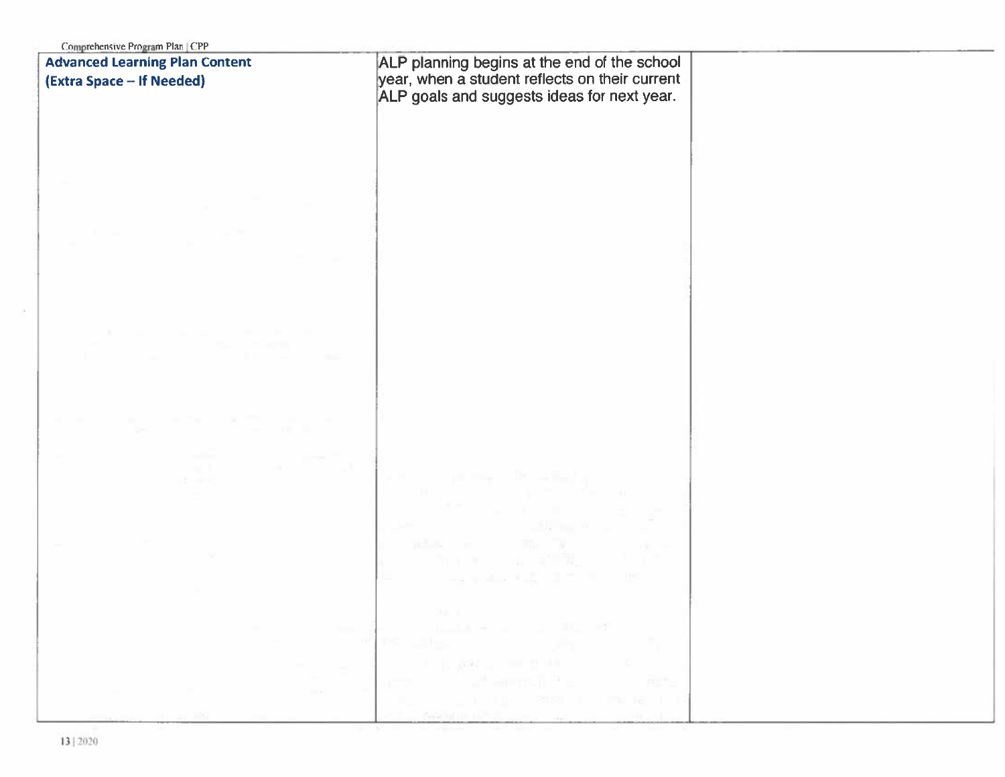| Comprehensive Program Plan   CPP                                                 |                                                                                                                                                                                                                                                                                                                                                                                              |  |
|----------------------------------------------------------------------------------|----------------------------------------------------------------------------------------------------------------------------------------------------------------------------------------------------------------------------------------------------------------------------------------------------------------------------------------------------------------------------------------------|--|
| <b>Advanced Learning Plan Content</b>                                            | ALP planning begins at the end of the school                                                                                                                                                                                                                                                                                                                                                 |  |
| (Extra Space - If Needed)                                                        | year, when a student reflects on their current                                                                                                                                                                                                                                                                                                                                               |  |
|                                                                                  | ALP goals and suggests ideas for next year.                                                                                                                                                                                                                                                                                                                                                  |  |
|                                                                                  |                                                                                                                                                                                                                                                                                                                                                                                              |  |
|                                                                                  |                                                                                                                                                                                                                                                                                                                                                                                              |  |
|                                                                                  |                                                                                                                                                                                                                                                                                                                                                                                              |  |
|                                                                                  |                                                                                                                                                                                                                                                                                                                                                                                              |  |
|                                                                                  |                                                                                                                                                                                                                                                                                                                                                                                              |  |
|                                                                                  |                                                                                                                                                                                                                                                                                                                                                                                              |  |
|                                                                                  |                                                                                                                                                                                                                                                                                                                                                                                              |  |
|                                                                                  |                                                                                                                                                                                                                                                                                                                                                                                              |  |
|                                                                                  |                                                                                                                                                                                                                                                                                                                                                                                              |  |
|                                                                                  |                                                                                                                                                                                                                                                                                                                                                                                              |  |
|                                                                                  |                                                                                                                                                                                                                                                                                                                                                                                              |  |
|                                                                                  |                                                                                                                                                                                                                                                                                                                                                                                              |  |
|                                                                                  |                                                                                                                                                                                                                                                                                                                                                                                              |  |
|                                                                                  |                                                                                                                                                                                                                                                                                                                                                                                              |  |
| $\rightarrow$                                                                    |                                                                                                                                                                                                                                                                                                                                                                                              |  |
|                                                                                  |                                                                                                                                                                                                                                                                                                                                                                                              |  |
|                                                                                  |                                                                                                                                                                                                                                                                                                                                                                                              |  |
|                                                                                  |                                                                                                                                                                                                                                                                                                                                                                                              |  |
|                                                                                  |                                                                                                                                                                                                                                                                                                                                                                                              |  |
|                                                                                  |                                                                                                                                                                                                                                                                                                                                                                                              |  |
|                                                                                  |                                                                                                                                                                                                                                                                                                                                                                                              |  |
|                                                                                  |                                                                                                                                                                                                                                                                                                                                                                                              |  |
| $-1 - 1 - 1$                                                                     |                                                                                                                                                                                                                                                                                                                                                                                              |  |
|                                                                                  |                                                                                                                                                                                                                                                                                                                                                                                              |  |
|                                                                                  | and the state of the state of                                                                                                                                                                                                                                                                                                                                                                |  |
|                                                                                  |                                                                                                                                                                                                                                                                                                                                                                                              |  |
|                                                                                  | $\begin{aligned} \mathbf{w} &= \mathbf{w} \quad \mathbf{w} \quad \mathbf{w}^T \mathbf{w}^T \mathbf{w}, \end{aligned}$                                                                                                                                                                                                                                                                        |  |
|                                                                                  | the state of the state of the<br>1.14                                                                                                                                                                                                                                                                                                                                                        |  |
|                                                                                  |                                                                                                                                                                                                                                                                                                                                                                                              |  |
|                                                                                  |                                                                                                                                                                                                                                                                                                                                                                                              |  |
| the contract of<br>. .                                                           | <b>CARL AT 1999</b><br><b>THE REAL PROPERTY AND PROPERTY</b>                                                                                                                                                                                                                                                                                                                                 |  |
| <b>Contract Contract</b>                                                         | $\mathcal{O}_2$ and $\mathcal{O}_3$ and $\mathcal{O}_4$ and $\mathcal{O}_5$ and $\mathcal{O}_7$ and $\mathcal{O}_8$ and $\mathcal{O}_7$ and $\mathcal{O}_8$                                                                                                                                                                                                                                  |  |
|                                                                                  |                                                                                                                                                                                                                                                                                                                                                                                              |  |
| the company of the company of<br><b>COLL</b>                                     |                                                                                                                                                                                                                                                                                                                                                                                              |  |
| <b>Contract Contract</b><br>$\sim 1000$ km s $^{-1}$<br><b>Contract Contract</b> | $\frac{1}{2} \frac{1}{2} \frac{1}{2} \frac{1}{2} \frac{1}{2} \frac{1}{2} \frac{1}{2} \frac{1}{2} \frac{1}{2} \frac{1}{2} \frac{1}{2} \frac{1}{2} \frac{1}{2} \frac{1}{2} \frac{1}{2} \frac{1}{2} \frac{1}{2} \frac{1}{2} \frac{1}{2} \frac{1}{2} \frac{1}{2} \frac{1}{2} \frac{1}{2} \frac{1}{2} \frac{1}{2} \frac{1}{2} \frac{1}{2} \frac{1}{2} \frac{1}{2} \frac{1}{2} \frac{1}{2} \frac{$ |  |
|                                                                                  | 3121 1 74 22 1 1<br><b>CONTRACTOR</b>                                                                                                                                                                                                                                                                                                                                                        |  |
|                                                                                  | Seath(ch.c2)                                                                                                                                                                                                                                                                                                                                                                                 |  |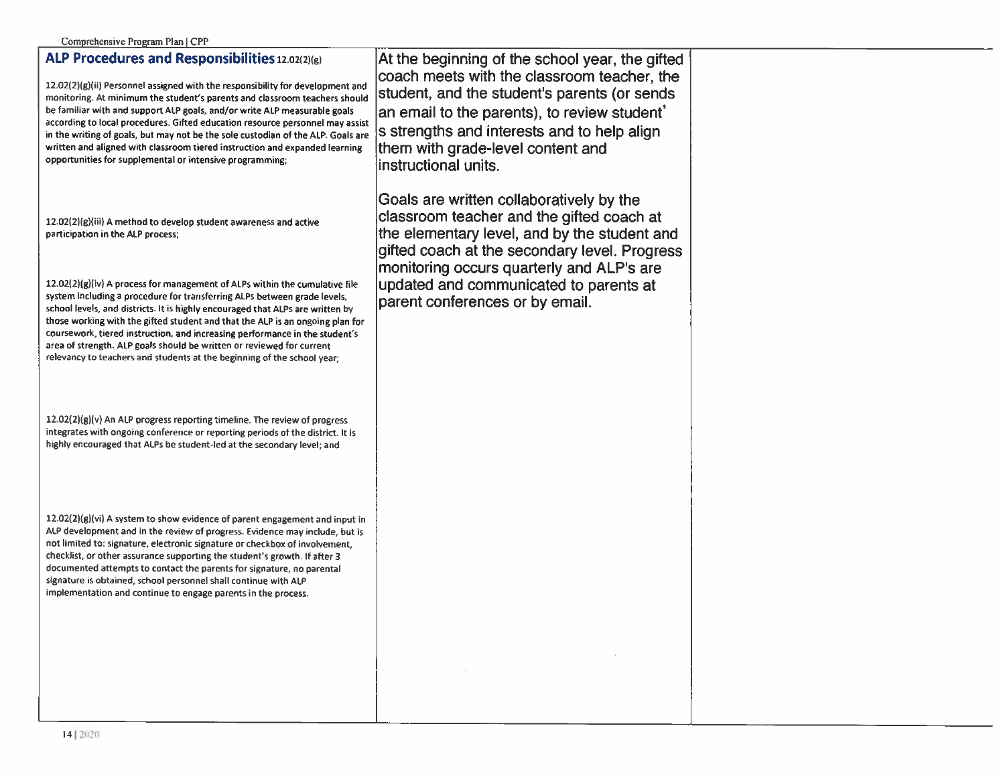### ALP Procedures and Responsibilities 12.02(2)(R) At the beginning of the school year, the gifted coach meets with the classroom teacher, the 12.02(2)(g)(ii) Personnel assigned with the responsibility for development and student, and the student's parents (or sends monitoring. At minimum the student's parents and classroom teachers should be familiar with and support ALP goals, and/or write ALP measurable goals an email to the parents), to review student' according to local procedures. Gifted education resource personnel may assist in the writing of goals, but may not be the sole custodian of the ALP. Goals are S Strengths and interests and to help alian written and aligned with classroom tiered instruction and expanded learning them with grade-level content and opportunities for supplemental or intensive programming; linstructional units. Goals are written collaboratively by the classroom teacher and the gifted coach at 12.02(2)(g)(iii) A method to develop student awareness and active the elementary level, and by the student and participation in the ALP process; gifted coach at the secondary level. Progress monitoring occurs quarterly and ALP's are updated and communicated to parents at 12.02(2)(g)(iv) A process for management of ALPs within the cumulative file system including a procedure for transferring ALPs between grade levels, parent conferences or by email. school levels, and districts. It is highly encouraged that ALPs are written by those working with the gifted student and that the ALP is an ongoing plan for coursework, tiered instruction, and increasing performance in the student's area of strength. ALP goals should be written or reviewed for current relevancy to teachers and students at the beginning of the school year;  $12.02(2)(g)(v)$  An ALP progress reporting timeline. The review of progress integrates with ongoing conference or reporting periods of the district. It is highly encouraged that ALPs be student-led at the secondary level; and 12.02(2)(g)(vi) A system to show evidence of parent engagement and input in ALP development and in the review of progress. Evidence may include, but is not limited to: signature, electronic signature or checkbox of involvement. checklist, or other assurance supporting the student's growth. If after 3 documented attempts to contact the parents for signature, no parental signature is obtained, school personnel shall continue with ALP implementation and continue to engage parents in the process.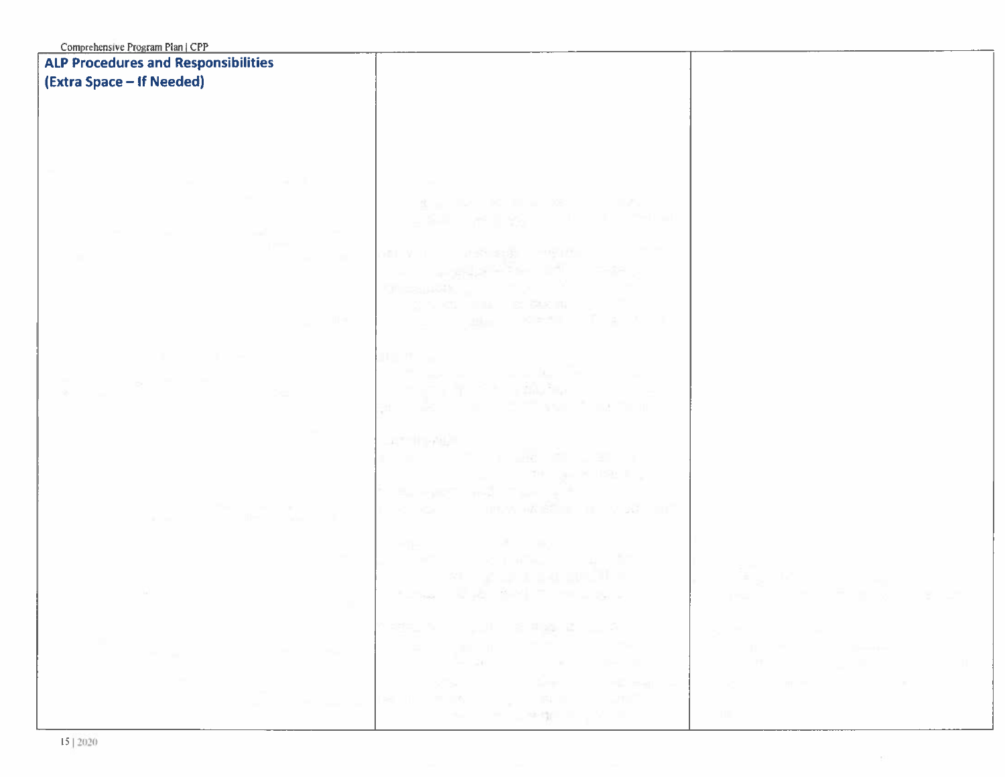| Comprehensive Program Plan   CPF |  |  |
|----------------------------------|--|--|
|                                  |  |  |

# **ALP Procedures and Responsibilities** (Extra Space - If Needed)

nalegy in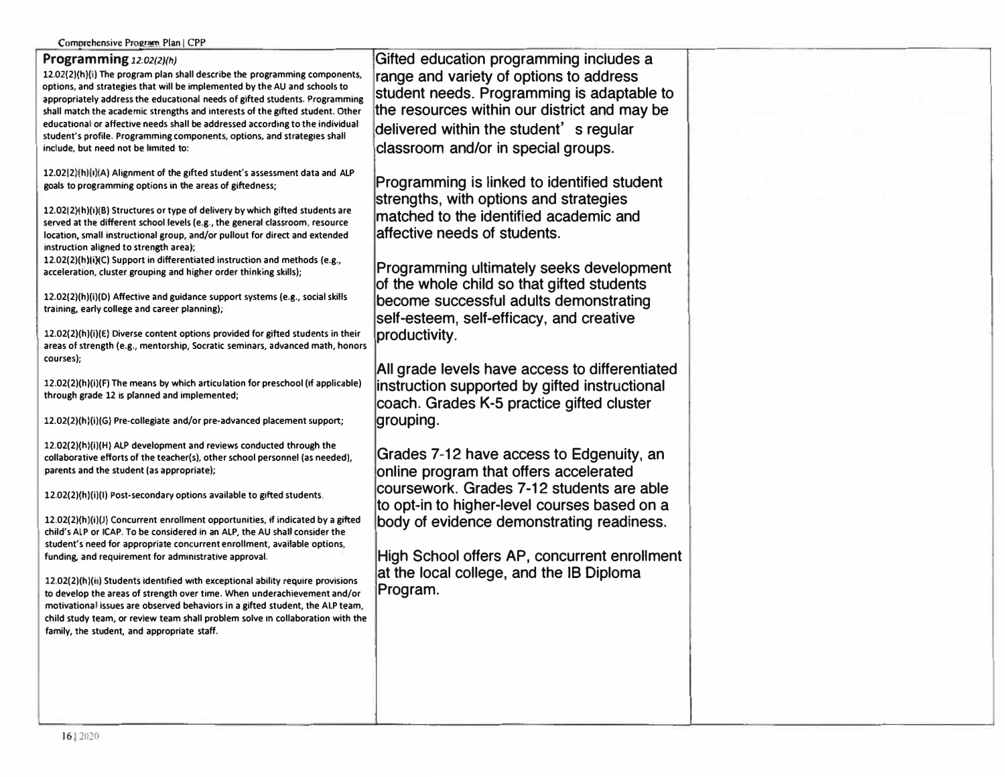### **Programming** *12.02(2)(hJ*

**12.02{2l(h)(il The program plan shall describe the programming components, options, and strategies that will be implemented by the AU and schools to appropriately address the educational needs of gifted students. Programming shall match the academic strengths and interests of the gifted student. Other educational or affective needs shall be addressed according to the individual student's profile. Programming components, options, and strategies shall indude, but need not be hmited to:** 

**12.0212){h)li)(A) Alignment of the gifted student's assessment data and ALP goals to programming options in the areas of giftedness;** 

**12.02l2)(h)(i)(B1 Structures or type of delivery by which gifted students are served at the different school levels (e.g., the general classroom, resource location, small instructional group, and/or pullout for direct and extended instruction aligned to strength area);** 

12.02(2)(h)(i)(C) Support in differentiated instruction and methods (e.g., **acceleration, cluster grouping and higher order thinking skillsl;** 

**12.02(2)(hl(i)(D) Affective and guidance support systems (e.g., social skills training, early college and career planning);** 

**12.02(2)(hl(i)(E) Diverse content options provided for gifted students in their areas of strength (e.g., mentorship, Socratic seminars, advanced math, honors courses);** 

**12.02(2)(h}(i)(F) The means by which articulation for preschool (if applicable) through grade 12 is planned and implemented;** 

**12.02(2)(h)(i)(G) Pre-collegiate and/or pre-advanced placement support;** 

**12.02(2)(h)(i}(H) ALP development and reviews conducted through the**  collaborative efforts of the teacher(s), other school personnel (as needed), **parents and the student (as appropriatel;** 

**12.02(2)(h)(i)(II Post-secondary options available to gifted students.** 

**12.02(2)(hl(i)(J) Concurrent enrollment opportunities, if indicated by a gifted child's ALP or ICAP. To be considered in an ALP, the AU shall consider the student's need for appropriate concurrent enrollment, available options, funding, and requirement for administrative approval.** 

**12.02(2)(h)(ii) Students identified with exceptional ability require provisions to develop the areas of strength over time. When underachievement and/or motivationa I issues are observed behaviors in a gifted student, the ALP team, child study team, or review team shall problem solve m collaboration with the family, the student, and appropriate staff.** 

**Gifted education programming includes a range and variety of options to address student needs. Programming is adaptable to the resources within our district and may be delivered within the student' s regular classroom and/or in special groups.** 

**Programming is linked to identified student strengths, with options and strategies matched to the identified academic and affective needs of students.** 

**Programming ultimately seeks development of the whole child so that gifted students become successful adults demonstrating self-esteem, self-efficacy, and creative productivity.** 

**All grade levels have access to differentiated instruction supported by gifted instructional coach. Grades K-5 practice gifted cluster grouping.** 

**Grades 7-12 have access to Edgenuity, an online program that offers accelerated coursework. Grades 7-12 students are able to opt-in to higher-level courses based on a body of evidence demonstrating readiness.** 

**High School offers AP, concurrent enrollment at the local college, and the 18 Diploma Program.**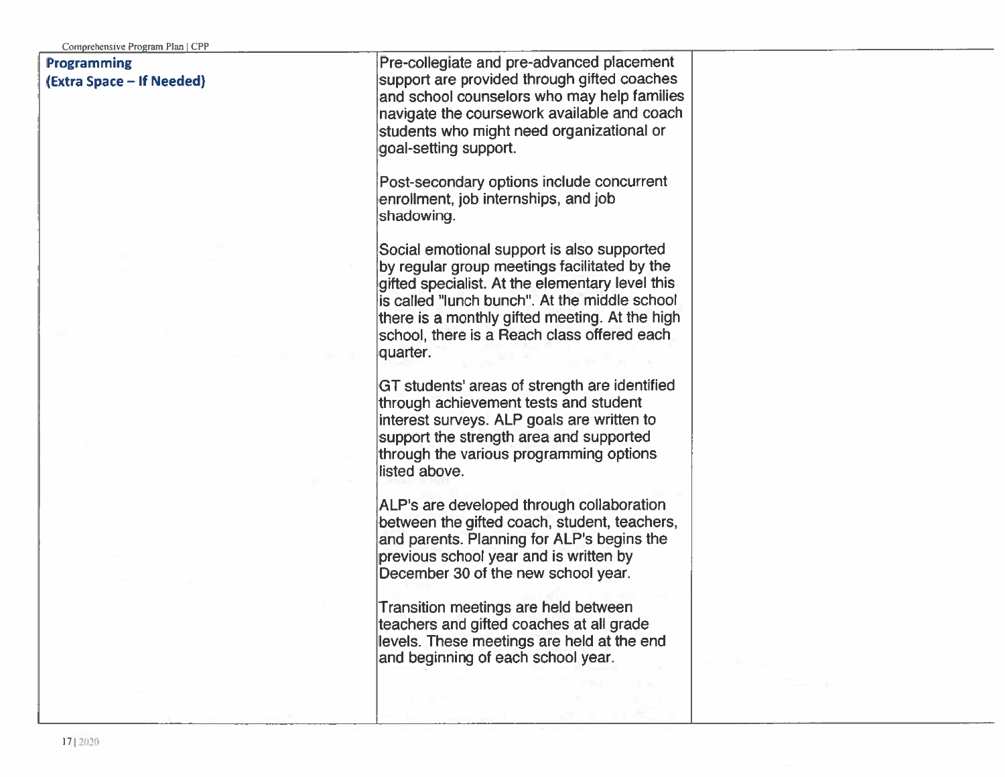## Programming (Extra Space - If Needed)

Pre-collegiate and pre-advanced placement support are provided through gifted coaches and school counselors who may help families navigate the coursework available and coach students who might need organizational or goal-setting support.

Post-secondary options include concurrent enrollment, job internships, and job shadowing.

Social emotional support is also supported by reqular group meetings facilitated by the gifted specialist. At the elementary level this is called "lunch bunch". At the middle school there is a monthly gifted meeting. At the high school, there is a Reach class offered each quarter.

GT students' areas of strength are identified through achievement tests and student interest surveys. ALP goals are written to support the strength area and supported through the various programming options listed above.

ALP's are developed through collaboration between the gifted coach, student, teachers, and parents. Planning for ALP's begins the previous school year and is written by December 30 of the new school year.

Transition meetings are held between teachers and gifted coaches at all grade levels. These meetings are held at the end and beginning of each school year.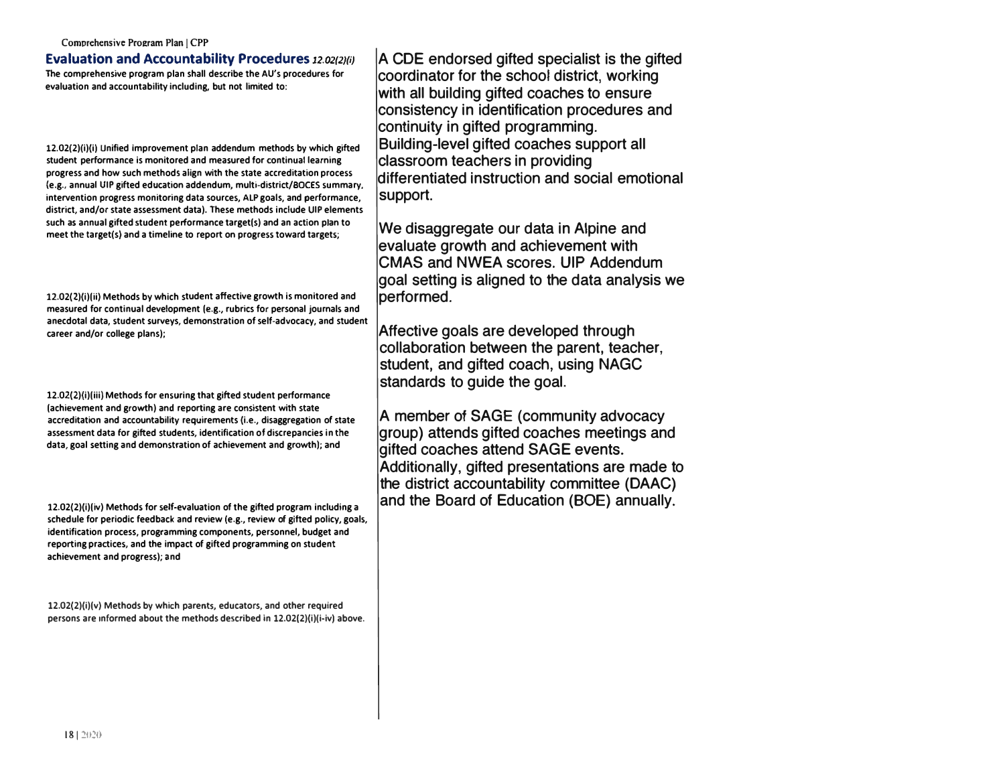### **Evaluation and Accountability Procedures**  $12.02(2)(i)$

**The comprehensive program plan shall describe the AU's procedures for evaluation and accountability including, but not limited to:** 

**12.02(2)(i)(il Unified improvement plan addendum methods by which gifted**  student performance is monitored and measured for continual learning **progress and how such methods align with the state accreditation process {e.g., annual UIP gifted education addendum, multi-district/BOCES summary, intervention progress monitoring data sources, ALP goals, and performance, district, and/or state assessment data). These methods include UIP elements**  such as annual gifted student performance target(s) and an action plan to **meet the target(s) and a timeline to report on progress toward targets;** 

**12.02(2)(i)(ii) Methods by which student affective growth is monitored and measured for continual development (e.g., rubrics for personal journals and anecdotal data, student surveys, demonstration of self-advocacy, and student career and/or college plans);** 

**12.02(2){i)(iii) Methods for ensuring that gifted student performance (achievement and growth) and reporting are consistent with state accreditation and accountability requirements (i.e., disaggregation of state assessment data for gifted students, identification of discrepancies in the data, goal setting and demonstration of achievement and growthl; and** 

**12.02(2)(i)(iv) Methods for self-evaluation of the gifted program including a schedule for periodic feedback and review (e.g., review of gifted policy, goals, identification process, programming components, personnel, budget and reporting practices, and the impact of gifted programming on student achievement and progress); and** 

**12.02(2)(i)(v) Methods by which parents, educators, and other required persons are informed about the methods described in 12.02(2)(i)(i-ivl above.**  **A CDE endorsed gifted specialist is the gifted coordinator for the school district, working with all building gifted coaches to ensure consistency in identification procedures and continuity in gifted programming. Building-level gifted coaches support all classroom teachers in providing differentiated instruction and social emotional support.** 

**We disaggregate our data in Alpine and evaluate growth and achievement with CMAS and NWEA scores. UIP Addendum goal setting is aligned to the data analysis we performed.** 

**Affective goals are developed through collaboration between the parent, teacher, student, and gifted coach, using NAGC standards to guide the goal.** 

**A member of SAGE (community advocacy group) attends gifted coaches meetings and gifted coaches attend SAGE events. Additionally, gifted presentations are made to the district accountability committee (DAAC) and the Board of Education (BOE) annually.**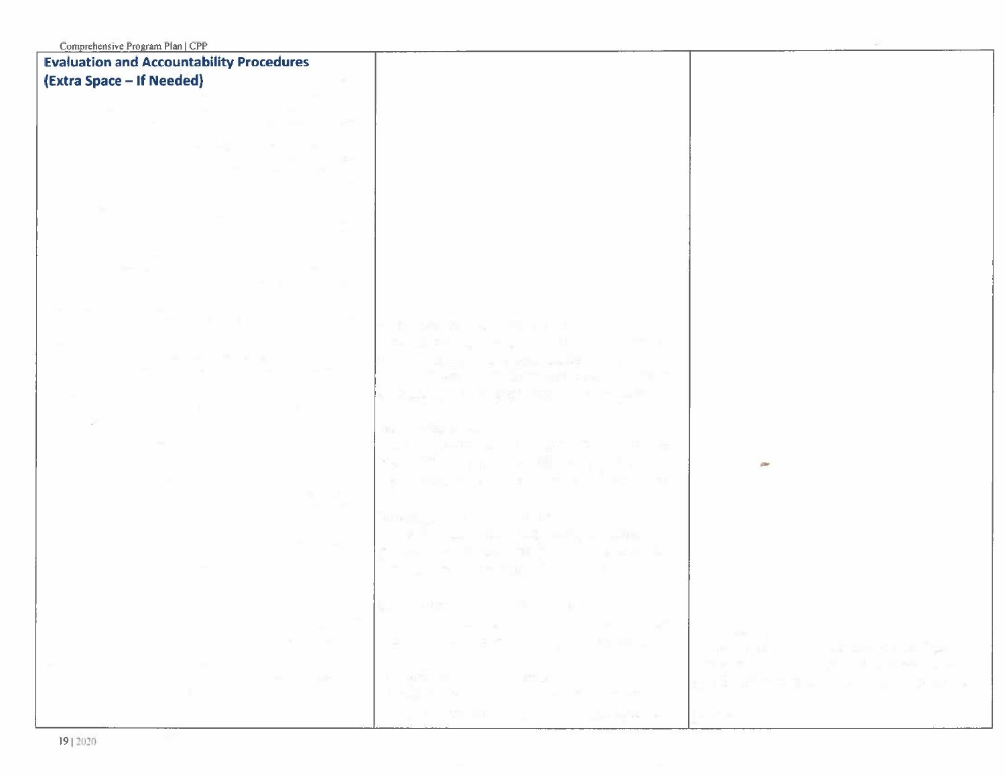| Comprehensive Program Plan   CPP                |                                                                                                                                                                                                                                                                                                                                                                                                                                                                    |                                                                                                                                                                                                                                                                                                                                                                                                                                                                            |
|-------------------------------------------------|--------------------------------------------------------------------------------------------------------------------------------------------------------------------------------------------------------------------------------------------------------------------------------------------------------------------------------------------------------------------------------------------------------------------------------------------------------------------|----------------------------------------------------------------------------------------------------------------------------------------------------------------------------------------------------------------------------------------------------------------------------------------------------------------------------------------------------------------------------------------------------------------------------------------------------------------------------|
| <b>Evaluation and Accountability Procedures</b> |                                                                                                                                                                                                                                                                                                                                                                                                                                                                    |                                                                                                                                                                                                                                                                                                                                                                                                                                                                            |
| (Extra Space - If Needed)                       |                                                                                                                                                                                                                                                                                                                                                                                                                                                                    |                                                                                                                                                                                                                                                                                                                                                                                                                                                                            |
|                                                 |                                                                                                                                                                                                                                                                                                                                                                                                                                                                    |                                                                                                                                                                                                                                                                                                                                                                                                                                                                            |
|                                                 |                                                                                                                                                                                                                                                                                                                                                                                                                                                                    |                                                                                                                                                                                                                                                                                                                                                                                                                                                                            |
|                                                 |                                                                                                                                                                                                                                                                                                                                                                                                                                                                    |                                                                                                                                                                                                                                                                                                                                                                                                                                                                            |
|                                                 |                                                                                                                                                                                                                                                                                                                                                                                                                                                                    |                                                                                                                                                                                                                                                                                                                                                                                                                                                                            |
| 12011                                           |                                                                                                                                                                                                                                                                                                                                                                                                                                                                    |                                                                                                                                                                                                                                                                                                                                                                                                                                                                            |
|                                                 |                                                                                                                                                                                                                                                                                                                                                                                                                                                                    |                                                                                                                                                                                                                                                                                                                                                                                                                                                                            |
|                                                 |                                                                                                                                                                                                                                                                                                                                                                                                                                                                    |                                                                                                                                                                                                                                                                                                                                                                                                                                                                            |
|                                                 |                                                                                                                                                                                                                                                                                                                                                                                                                                                                    |                                                                                                                                                                                                                                                                                                                                                                                                                                                                            |
|                                                 |                                                                                                                                                                                                                                                                                                                                                                                                                                                                    |                                                                                                                                                                                                                                                                                                                                                                                                                                                                            |
|                                                 |                                                                                                                                                                                                                                                                                                                                                                                                                                                                    |                                                                                                                                                                                                                                                                                                                                                                                                                                                                            |
|                                                 |                                                                                                                                                                                                                                                                                                                                                                                                                                                                    |                                                                                                                                                                                                                                                                                                                                                                                                                                                                            |
|                                                 |                                                                                                                                                                                                                                                                                                                                                                                                                                                                    |                                                                                                                                                                                                                                                                                                                                                                                                                                                                            |
|                                                 |                                                                                                                                                                                                                                                                                                                                                                                                                                                                    |                                                                                                                                                                                                                                                                                                                                                                                                                                                                            |
|                                                 |                                                                                                                                                                                                                                                                                                                                                                                                                                                                    |                                                                                                                                                                                                                                                                                                                                                                                                                                                                            |
|                                                 | <b>Drama Britain Harry</b>                                                                                                                                                                                                                                                                                                                                                                                                                                         |                                                                                                                                                                                                                                                                                                                                                                                                                                                                            |
|                                                 | $\mathbb{A}^{\mathbb{Z}}\subset\mathbb{R}^{n}\times\mathbb{R}^{n}\times\mathbb{R}^{n}\longrightarrow\mathbb{R}^{n}\times\mathbb{R}^{n}\times\mathbb{R}^{n}\times\mathbb{R}^{n}\times\mathbb{R}^{n}\times\mathbb{R}^{n}\times\mathbb{R}^{n}\times\mathbb{R}^{n}\times\mathbb{R}^{n}\times\mathbb{R}^{n}\times\mathbb{R}^{n}\times\mathbb{R}^{n}\times\mathbb{R}^{n}\times\mathbb{R}^{n}\times\mathbb{R}^{n}\times\mathbb{R}^{n}\times\mathbb{R}^{n}\times\mathbb{R$ |                                                                                                                                                                                                                                                                                                                                                                                                                                                                            |
|                                                 | <b>Manager Controller Service</b>                                                                                                                                                                                                                                                                                                                                                                                                                                  |                                                                                                                                                                                                                                                                                                                                                                                                                                                                            |
|                                                 | <b>CONTRACTOR</b>                                                                                                                                                                                                                                                                                                                                                                                                                                                  |                                                                                                                                                                                                                                                                                                                                                                                                                                                                            |
|                                                 | 이 이 1/4년 10월 10일 - 이 프                                                                                                                                                                                                                                                                                                                                                                                                                                             |                                                                                                                                                                                                                                                                                                                                                                                                                                                                            |
|                                                 |                                                                                                                                                                                                                                                                                                                                                                                                                                                                    |                                                                                                                                                                                                                                                                                                                                                                                                                                                                            |
|                                                 | 1111<br>in Belgi da S                                                                                                                                                                                                                                                                                                                                                                                                                                              |                                                                                                                                                                                                                                                                                                                                                                                                                                                                            |
|                                                 | <b>Contact Contact Contact Contact Contact Contact Contact Contact Contact Contact Contact Contact Contact Contact Contact Contact Contact Contact Contact Contact Contact Contact Contact Contact Contact Contact Contact Conta</b>                                                                                                                                                                                                                               |                                                                                                                                                                                                                                                                                                                                                                                                                                                                            |
|                                                 | W.                                                                                                                                                                                                                                                                                                                                                                                                                                                                 |                                                                                                                                                                                                                                                                                                                                                                                                                                                                            |
|                                                 |                                                                                                                                                                                                                                                                                                                                                                                                                                                                    |                                                                                                                                                                                                                                                                                                                                                                                                                                                                            |
|                                                 |                                                                                                                                                                                                                                                                                                                                                                                                                                                                    |                                                                                                                                                                                                                                                                                                                                                                                                                                                                            |
|                                                 | $11 - 115$<br><b>BELOCIL</b>                                                                                                                                                                                                                                                                                                                                                                                                                                       |                                                                                                                                                                                                                                                                                                                                                                                                                                                                            |
|                                                 |                                                                                                                                                                                                                                                                                                                                                                                                                                                                    |                                                                                                                                                                                                                                                                                                                                                                                                                                                                            |
|                                                 | <b>College B</b>                                                                                                                                                                                                                                                                                                                                                                                                                                                   |                                                                                                                                                                                                                                                                                                                                                                                                                                                                            |
|                                                 | The State of House                                                                                                                                                                                                                                                                                                                                                                                                                                                 |                                                                                                                                                                                                                                                                                                                                                                                                                                                                            |
|                                                 |                                                                                                                                                                                                                                                                                                                                                                                                                                                                    |                                                                                                                                                                                                                                                                                                                                                                                                                                                                            |
|                                                 |                                                                                                                                                                                                                                                                                                                                                                                                                                                                    |                                                                                                                                                                                                                                                                                                                                                                                                                                                                            |
| <b>Service</b>                                  |                                                                                                                                                                                                                                                                                                                                                                                                                                                                    | the state of the                                                                                                                                                                                                                                                                                                                                                                                                                                                           |
| the contract of                                 | $\frac{1}{2} \left[ \begin{array}{ccc} 1 & 0 & 0 \\ 0 & 0 & 0 \\ 0 & 0 & 0 \\ 0 & 0 & 0 \\ 0 & 0 & 0 \\ 0 & 0 & 0 \\ 0 & 0 & 0 \\ 0 & 0 & 0 \\ 0 & 0 & 0 \\ 0 & 0 & 0 \\ 0 & 0 & 0 \\ 0 & 0 & 0 \\ 0 & 0 & 0 \\ 0 & 0 & 0 & 0 \\ 0 & 0 & 0 & 0 \\ 0 & 0 & 0 & 0 \\ 0 & 0 & 0 & 0 & 0 \\ 0 & 0 & 0 & 0 & 0 \\ 0 & 0 & 0 & 0 & 0 \\ 0 & 0$                                                                                                                           | $\mathcal{A}(\mathcal{A}) = \mathcal{A}(\mathcal{A}) = \mathcal{A}(\mathcal{A}) = \mathcal{A}(\mathcal{A}) = \mathcal{A}(\mathcal{A}) = \mathcal{A}(\mathcal{A}) = \mathcal{A}(\mathcal{A}) = \mathcal{A}(\mathcal{A}) = \mathcal{A}(\mathcal{A}) = \mathcal{A}(\mathcal{A}) = \mathcal{A}(\mathcal{A}) = \mathcal{A}(\mathcal{A}) = \mathcal{A}(\mathcal{A}) = \mathcal{A}(\mathcal{A}) = \mathcal{A}(\mathcal{A}) = \mathcal{A}(\mathcal{A}) = \mathcal{A}(\mathcal{A})$ |
| and the                                         |                                                                                                                                                                                                                                                                                                                                                                                                                                                                    | Higher Company of the Road Company                                                                                                                                                                                                                                                                                                                                                                                                                                         |
| the control of the state of the                 | <b>I AND IN THE REAL PROPERTY</b>                                                                                                                                                                                                                                                                                                                                                                                                                                  | alendarum aka                                                                                                                                                                                                                                                                                                                                                                                                                                                              |
| <b>All Services</b>                             | $\mathbb{P}(\mathbb{Z}_2^m) \leq \mathbb{R} \qquad \qquad \mathbb{R}^m \quad \mathbb{R}^m \quad \mathbb{R}^m \quad \mathbb{R}^m \quad \mathbb{R}^m.$                                                                                                                                                                                                                                                                                                               |                                                                                                                                                                                                                                                                                                                                                                                                                                                                            |
|                                                 | $\begin{array}{cccccccccccccc} 1 & 20 & 00 & & & & & & & \Delta m \end{array}$                                                                                                                                                                                                                                                                                                                                                                                     | <b>Death Ave</b>                                                                                                                                                                                                                                                                                                                                                                                                                                                           |
|                                                 |                                                                                                                                                                                                                                                                                                                                                                                                                                                                    |                                                                                                                                                                                                                                                                                                                                                                                                                                                                            |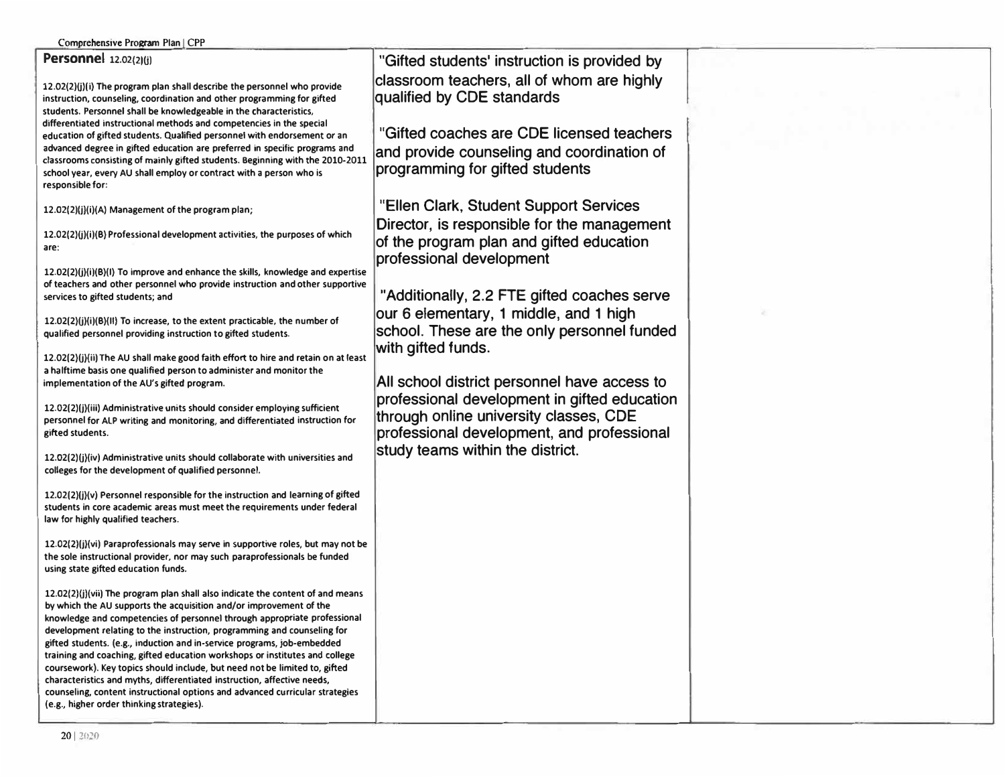| Comprehensive Program Plan   CPP                                                                                                                                                                                                                                                                                                                                                                                                                                       |                                                                                                                                                                                      |
|------------------------------------------------------------------------------------------------------------------------------------------------------------------------------------------------------------------------------------------------------------------------------------------------------------------------------------------------------------------------------------------------------------------------------------------------------------------------|--------------------------------------------------------------------------------------------------------------------------------------------------------------------------------------|
| Personnel 12.02(2)(j)                                                                                                                                                                                                                                                                                                                                                                                                                                                  | "Gifted students' instruction is provided by                                                                                                                                         |
| 12.02(2)(j)(i) The program plan shall describe the personnel who provide<br>instruction, counseling, coordination and other programming for gifted<br>students. Personnel shall be knowledgeable in the characteristics,                                                                                                                                                                                                                                               | classroom teachers, all of whom are highly<br>qualified by CDE standards                                                                                                             |
| differentiated instructional methods and competencies in the special<br>education of gifted students. Qualified personnel with endorsement or an<br>advanced degree in gifted education are preferred in specific programs and<br>classrooms consisting of mainly gifted students. Beginning with the 2010-2011<br>school year, every AU shall employ or contract with a person who is<br>responsible for:                                                             | "Gifted coaches are CDE licensed teachers<br>and provide counseling and coordination of<br>programming for gifted students                                                           |
| 12.02(2)(j)(i)(A) Management of the program plan;                                                                                                                                                                                                                                                                                                                                                                                                                      | "Ellen Clark, Student Support Services                                                                                                                                               |
| 12.02(2)(j)(i)(B) Professional development activities, the purposes of which<br>are:                                                                                                                                                                                                                                                                                                                                                                                   | Director, is responsible for the management<br>of the program plan and gifted education<br>professional development                                                                  |
| $12.02(2)(j)(i)(8)(l)$ To improve and enhance the skills, knowledge and expertise<br>of teachers and other personnel who provide instruction and other supportive<br>services to gifted students; and                                                                                                                                                                                                                                                                  | "Additionally, 2.2 FTE gifted coaches serve                                                                                                                                          |
| 12.02(2)(j)(i)(B)(II) To increase, to the extent practicable, the number of<br>qualified personnel providing instruction to gifted students.                                                                                                                                                                                                                                                                                                                           | our 6 elementary, 1 middle, and 1 high<br>school. These are the only personnel funded<br>with gifted funds.                                                                          |
| 12.02(2)(j)(ii) The AU shall make good faith effort to hire and retain on at least<br>a halftime basis one qualified person to administer and monitor the                                                                                                                                                                                                                                                                                                              |                                                                                                                                                                                      |
| implementation of the AU's gifted program.<br>12.02(2)(j)(iii) Administrative units should consider employing sufficient<br>personnel for ALP writing and monitoring, and differentiated instruction for<br>gifted students.                                                                                                                                                                                                                                           | All school district personnel have access to<br>professional development in gifted education<br>through online university classes, CDE<br>professional development, and professional |
| 12.02(2)(j)(iv) Administrative units should collaborate with universities and<br>colleges for the development of qualified personnel.                                                                                                                                                                                                                                                                                                                                  | study teams within the district.                                                                                                                                                     |
| 12.02(2)(j)(v) Personnel responsible for the instruction and learning of gifted<br>students in core academic areas must meet the requirements under federal<br>law for highly qualified teachers.                                                                                                                                                                                                                                                                      |                                                                                                                                                                                      |
| 12.02(2)(j)(vi) Paraprofessionals may serve in supportive roles, but may not be<br>the sole instructional provider, nor may such paraprofessionals be funded<br>using state gifted education funds.                                                                                                                                                                                                                                                                    |                                                                                                                                                                                      |
| $12.02(2)(j)(vi)$ The program plan shall also indicate the content of and means<br>by which the AU supports the acquisition and/or improvement of the<br>knowledge and competencies of personnel through appropriate professional<br>development relating to the instruction, programming and counseling for<br>gifted students. (e.g., induction and in-service programs, job-embedded<br>training and coaching, gifted education workshops or institutes and college |                                                                                                                                                                                      |
| coursework). Key topics should include, but need not be limited to, gifted<br>characteristics and myths, differentiated instruction, affective needs,<br>counseling, content instructional options and advanced curricular strategies<br>(e.g., higher order thinking strategies).                                                                                                                                                                                     |                                                                                                                                                                                      |

X.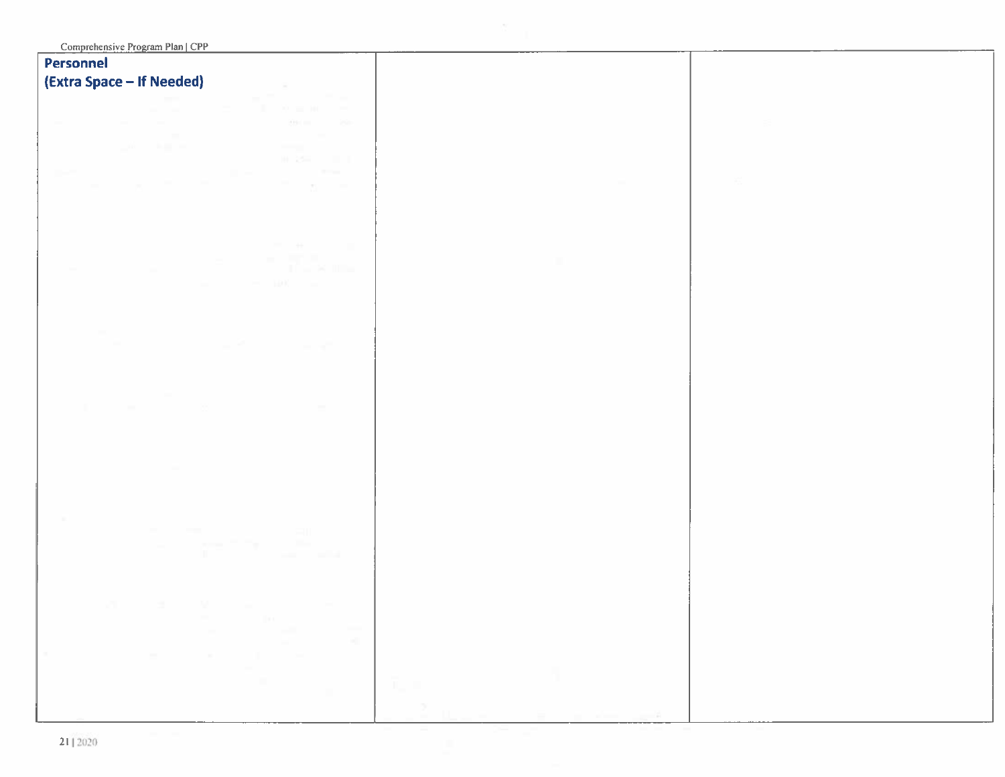| Personnel                                          |               |  |
|----------------------------------------------------|---------------|--|
| (Extra Space - If Needed)                          |               |  |
| <b>STATE</b><br>22, 22, 101                        |               |  |
| 3,590                                              |               |  |
| $\sim$                                             |               |  |
| <b>Building</b><br>10 25 3                         |               |  |
|                                                    |               |  |
| $\sim$                                             |               |  |
| <b>LEAR</b>                                        |               |  |
|                                                    |               |  |
| <b>Contract Contract</b>                           |               |  |
|                                                    |               |  |
|                                                    |               |  |
|                                                    |               |  |
| <b>CONTRACTOR</b><br>Ter.                          |               |  |
| $\mathbf{r}$<br>v.<br><b>Contract</b>              |               |  |
| 11 K X<br><b>Contract Contract</b>                 |               |  |
| <b>Controller</b><br>the control of the control of |               |  |
| <b>Contract</b>                                    |               |  |
| - 11<br><b>COLLA</b>                               | The Co        |  |
|                                                    | $\frac{1}{2}$ |  |
|                                                    |               |  |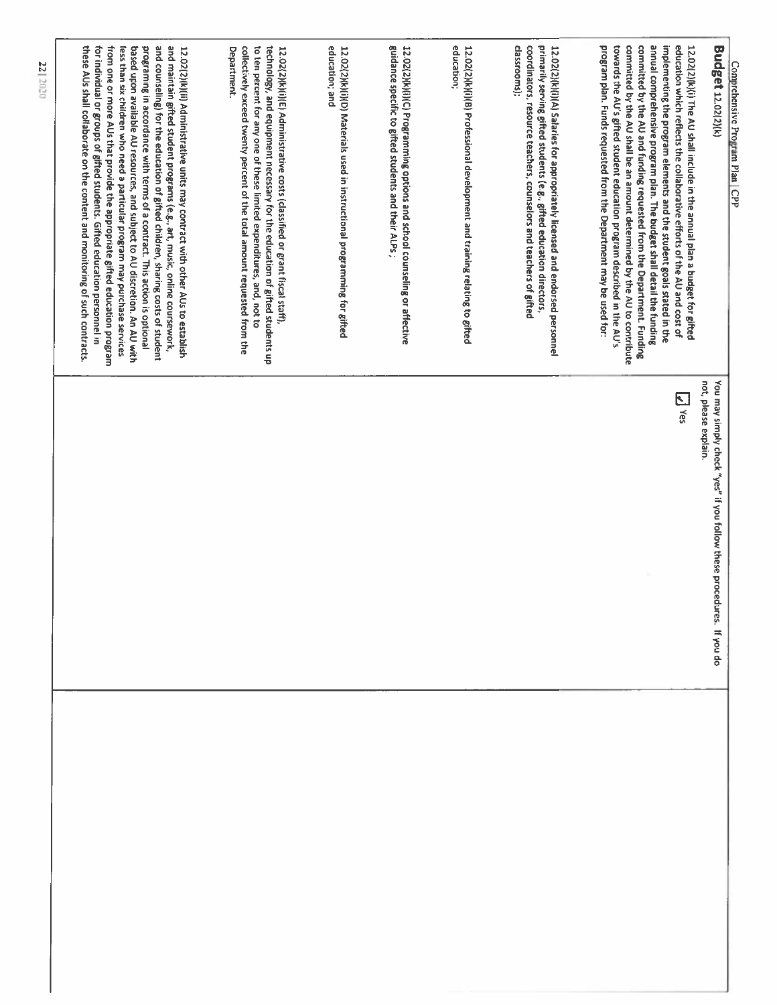| and counseling) for the education of gifted children, sharing costs of student<br>and maintain gifted student programs (e.g., art, music, online coursework,<br>these AUs shall collaborate on the content and monitoring of such contracts<br>for individual or groups of gifted students. Gifted education personnel in<br>from one or more AUs that provide the appropriate gifted education program<br>based upon available AU resources, and subject to AU discretion. An AU with<br>programing in accordance with terms of a contract. This action is optional<br>less than six children who need a particular program may purchase services<br>12.02(2)(k)(ii) Administrative units may contract with other AUs to establish | to ten percent for any one of these limited expenditures, and, not to<br>collectively exceed twenty percent of the total amount requested from the<br>technology, and equipment necessary for the education of gifted students up<br>12.02(2)(k)(i)(E) Administrative costs (classified or grant fiscal staff),<br>Department. | education; and<br>12.02(2)(k)(i)(D) Materials used in instructional programming for gifted | guidance specific to gifted students and their ALPs;<br>12.02(2)(k)(i)(C) Programming options and school counseling or affective | education;<br>12.02(2)(k)(i)(B) Professional development and training relating to gifted | classrooms);<br>coordinators, resource teachers, counselors and teachers of gifted<br>primarily serving gifted students (e.g., gifted education directors,<br>12.02(2)(k)(i)(A) Salaries for appropriately licensed and endorsed personnel | committed by the AU shall be an amount determined by the AU to contribute<br>annual comprehensive program plan. The budget shall detail the funding<br>committed by the AU and funding requested from the Department. Funding<br>implementing the program elements and the student goals stated in the<br>program plan. Funds requested from the Department may be used for:<br>towards the AU's gifted student education program described in the AU's | education which reflects the collaborative efforts of the AU and cost of<br>12.02(2)(k)(i) The AU shall include in the annual plan a budget for gifted | Budget 12.02(2)(k)                                                                              | Comprehensive Program Plan   CPP |
|-------------------------------------------------------------------------------------------------------------------------------------------------------------------------------------------------------------------------------------------------------------------------------------------------------------------------------------------------------------------------------------------------------------------------------------------------------------------------------------------------------------------------------------------------------------------------------------------------------------------------------------------------------------------------------------------------------------------------------------|--------------------------------------------------------------------------------------------------------------------------------------------------------------------------------------------------------------------------------------------------------------------------------------------------------------------------------|--------------------------------------------------------------------------------------------|----------------------------------------------------------------------------------------------------------------------------------|------------------------------------------------------------------------------------------|--------------------------------------------------------------------------------------------------------------------------------------------------------------------------------------------------------------------------------------------|---------------------------------------------------------------------------------------------------------------------------------------------------------------------------------------------------------------------------------------------------------------------------------------------------------------------------------------------------------------------------------------------------------------------------------------------------------|--------------------------------------------------------------------------------------------------------------------------------------------------------|-------------------------------------------------------------------------------------------------|----------------------------------|
|                                                                                                                                                                                                                                                                                                                                                                                                                                                                                                                                                                                                                                                                                                                                     |                                                                                                                                                                                                                                                                                                                                |                                                                                            |                                                                                                                                  |                                                                                          |                                                                                                                                                                                                                                            |                                                                                                                                                                                                                                                                                                                                                                                                                                                         | $\sum_{s \in S}$                                                                                                                                       | not, please explain.<br>You may simply check "yes" if you follow these procedures.<br>op noA ji |                                  |
|                                                                                                                                                                                                                                                                                                                                                                                                                                                                                                                                                                                                                                                                                                                                     |                                                                                                                                                                                                                                                                                                                                |                                                                                            |                                                                                                                                  |                                                                                          |                                                                                                                                                                                                                                            |                                                                                                                                                                                                                                                                                                                                                                                                                                                         |                                                                                                                                                        |                                                                                                 |                                  |

22 | 2020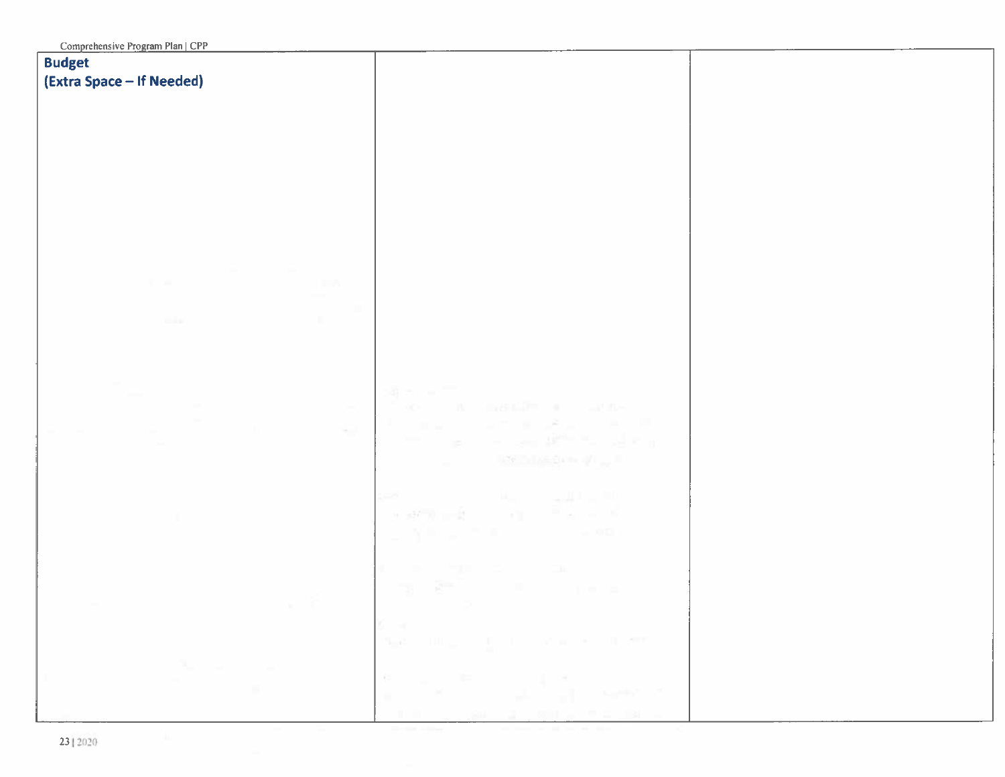| <b>Budget</b><br>(Extra Space - If Needed)                       |                                                                                                                                                                                                                                                                                                                                              |  |
|------------------------------------------------------------------|----------------------------------------------------------------------------------------------------------------------------------------------------------------------------------------------------------------------------------------------------------------------------------------------------------------------------------------------|--|
|                                                                  |                                                                                                                                                                                                                                                                                                                                              |  |
|                                                                  |                                                                                                                                                                                                                                                                                                                                              |  |
| <b>Contract Contract</b><br><b>HAK</b>                           |                                                                                                                                                                                                                                                                                                                                              |  |
| $\sim$                                                           | 5年 六<br>The contract built of<br><b>CONTRACTOR</b><br>00 K<br>×<br>---<br><b>Contract Contract</b><br>the company of the control of the<br>IR.<br><b>INCORPORATION</b>                                                                                                                                                                       |  |
|                                                                  | أحاجز<br>a Maria<br>and the contract of the<br>$\begin{array}{ccccccccccccc} \cdots & \cdots & \cdots & \cdots & \cdots & \cdots \end{array}$<br>or addition and the control<br>- 00<br>$-1$                                                                                                                                                 |  |
|                                                                  | $-1$<br><b>CONTRACTOR</b><br>$\overline{\mathcal{A}}$<br>24.7<br>$-1 - 1 = 1$<br>$\sim 10^{-1}$                                                                                                                                                                                                                                              |  |
| The company of the<br>and the state of the state<br>and the con- | and control in the series in sec-<br>$\frac{\partial}{\partial t} \left( \begin{array}{cc} \partial_{t} \, \partial_{t} & 0 \end{array} \right) = \begin{array}{cc} \partial_{t} \, \partial_{t} \, \partial_{t} & 0 \end{array} \begin{array}{cc} \partial_{t} \, \partial_{t} \, \partial_{t} \, \partial_{t} \end{array}$<br>$\mathbb{R}$ |  |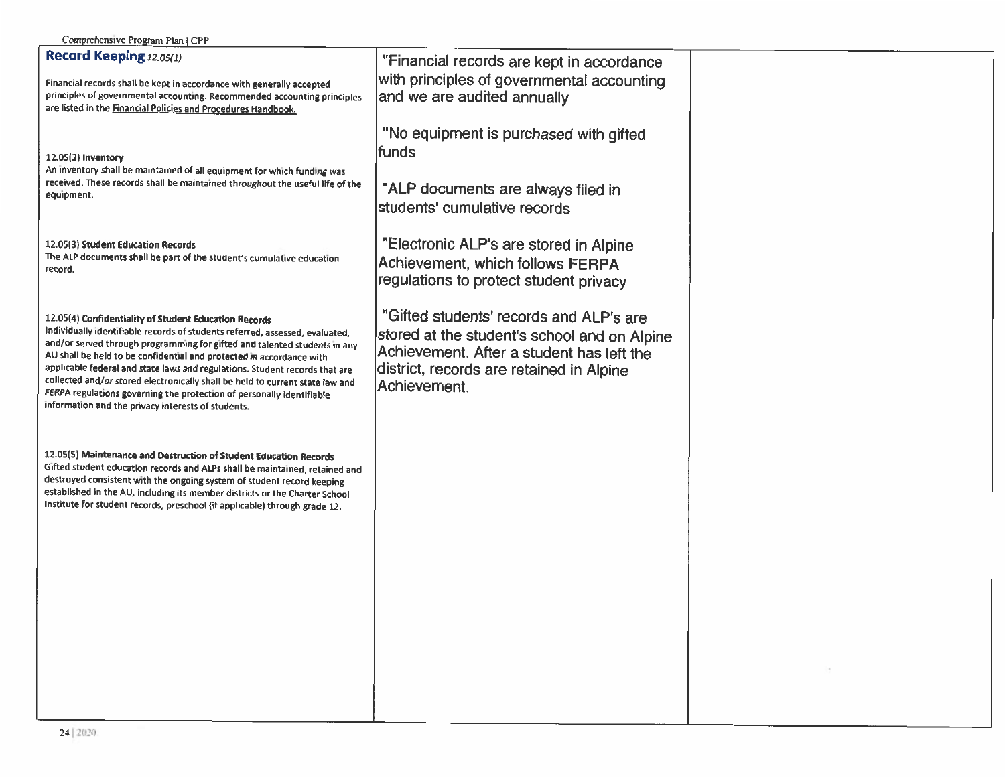| Comprehensive Program Plan   CPP |  |  |
|----------------------------------|--|--|
|                                  |  |  |

| Record Keeping 12.05(1)<br>Financial records shall be kept in accordance with generally accepted<br>principles of governmental accounting. Recommended accounting principles<br>are listed in the Financial Policies and Procedures Handbook.                                                                                                                                                                                                                                                                                                                                             | "Financial records are kept in accordance<br>with principles of governmental accounting<br>and we are audited annually                                                                           |  |
|-------------------------------------------------------------------------------------------------------------------------------------------------------------------------------------------------------------------------------------------------------------------------------------------------------------------------------------------------------------------------------------------------------------------------------------------------------------------------------------------------------------------------------------------------------------------------------------------|--------------------------------------------------------------------------------------------------------------------------------------------------------------------------------------------------|--|
| 12.05(2) Inventory<br>An inventory shall be maintained of all equipment for which funding was<br>received. These records shall be maintained throughout the useful life of the<br>equipment.                                                                                                                                                                                                                                                                                                                                                                                              | "No equipment is purchased with gifted<br>funds<br>"ALP documents are always filed in<br>students' cumulative records                                                                            |  |
| 12.05(3) Student Education Records<br>The ALP documents shall be part of the student's cumulative education<br>record.                                                                                                                                                                                                                                                                                                                                                                                                                                                                    | "Electronic ALP's are stored in Alpine<br>Achievement, which follows FERPA<br>regulations to protect student privacy                                                                             |  |
| 12.05(4) Confidentiality of Student Education Records<br>Individually identifiable records of students referred, assessed, evaluated,<br>and/or served through programming for gifted and talented students in any<br>AU shall be held to be confidential and protected in accordance with<br>applicable federal and state laws and regulations. Student records that are<br>collected and/or stored electronically shall be held to current state law and<br>FERPA regulations governing the protection of personally identifiable<br>information and the privacy interests of students. | "Gifted students' records and ALP's are<br>stored at the student's school and on Alpine<br>Achievement. After a student has left the<br>district, records are retained in Alpine<br>Achievement. |  |
| 12.05(5) Maintenance and Destruction of Student Education Records<br>Gifted student education records and ALPs shall be maintained, retained and<br>destroyed consistent with the ongoing system of student record keeping<br>established in the AU, including its member districts or the Charter School<br>Institute for student records, preschool (if applicable) through grade 12.                                                                                                                                                                                                   |                                                                                                                                                                                                  |  |
|                                                                                                                                                                                                                                                                                                                                                                                                                                                                                                                                                                                           |                                                                                                                                                                                                  |  |
|                                                                                                                                                                                                                                                                                                                                                                                                                                                                                                                                                                                           |                                                                                                                                                                                                  |  |
|                                                                                                                                                                                                                                                                                                                                                                                                                                                                                                                                                                                           |                                                                                                                                                                                                  |  |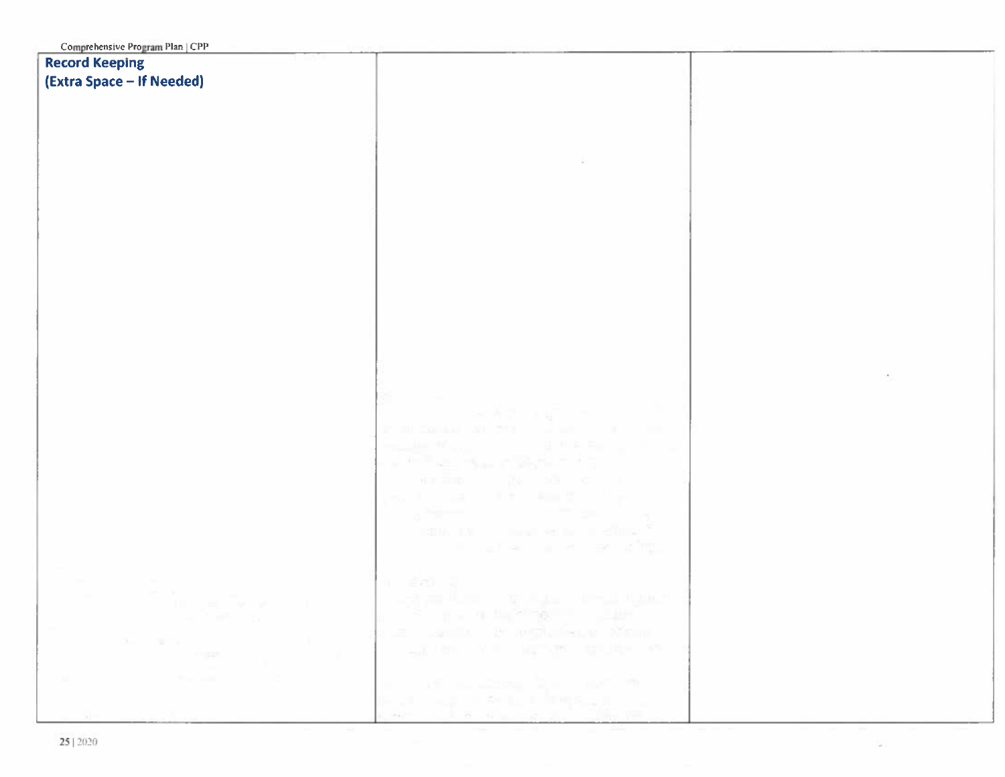| Comprehensive Program Plan   CPP                           |                                                                                                                                                                                                                                                                                                                                       |  |
|------------------------------------------------------------|---------------------------------------------------------------------------------------------------------------------------------------------------------------------------------------------------------------------------------------------------------------------------------------------------------------------------------------|--|
| <b>Record Keeping</b>                                      |                                                                                                                                                                                                                                                                                                                                       |  |
| (Extra Space - If Needed)                                  |                                                                                                                                                                                                                                                                                                                                       |  |
|                                                            |                                                                                                                                                                                                                                                                                                                                       |  |
|                                                            |                                                                                                                                                                                                                                                                                                                                       |  |
|                                                            |                                                                                                                                                                                                                                                                                                                                       |  |
|                                                            |                                                                                                                                                                                                                                                                                                                                       |  |
|                                                            |                                                                                                                                                                                                                                                                                                                                       |  |
|                                                            |                                                                                                                                                                                                                                                                                                                                       |  |
|                                                            |                                                                                                                                                                                                                                                                                                                                       |  |
|                                                            |                                                                                                                                                                                                                                                                                                                                       |  |
|                                                            |                                                                                                                                                                                                                                                                                                                                       |  |
|                                                            |                                                                                                                                                                                                                                                                                                                                       |  |
|                                                            |                                                                                                                                                                                                                                                                                                                                       |  |
|                                                            |                                                                                                                                                                                                                                                                                                                                       |  |
|                                                            |                                                                                                                                                                                                                                                                                                                                       |  |
|                                                            |                                                                                                                                                                                                                                                                                                                                       |  |
|                                                            |                                                                                                                                                                                                                                                                                                                                       |  |
|                                                            |                                                                                                                                                                                                                                                                                                                                       |  |
|                                                            |                                                                                                                                                                                                                                                                                                                                       |  |
|                                                            |                                                                                                                                                                                                                                                                                                                                       |  |
|                                                            |                                                                                                                                                                                                                                                                                                                                       |  |
|                                                            |                                                                                                                                                                                                                                                                                                                                       |  |
|                                                            | 2000 万元 119                                                                                                                                                                                                                                                                                                                           |  |
|                                                            | IN THE COMMAND AND CONDUCT                                                                                                                                                                                                                                                                                                            |  |
|                                                            |                                                                                                                                                                                                                                                                                                                                       |  |
|                                                            | $\frac{1}{2} \left[ \begin{array}{cc} 1 & 0 & 0 \\ 0 & 0 & 0 \\ 0 & 0 & 0 \\ 0 & 0 & 0 \\ 0 & 0 & 0 \\ 0 & 0 & 0 \\ 0 & 0 & 0 \\ 0 & 0 & 0 \\ 0 & 0 & 0 \\ 0 & 0 & 0 \\ 0 & 0 & 0 & 0 \\ 0 & 0 & 0 & 0 \\ 0 & 0 & 0 & 0 \\ 0 & 0 & 0 & 0 & 0 \\ 0 & 0 & 0 & 0 & 0 \\ 0 & 0 & 0 & 0 & 0 \\ 0 & 0 & 0 & 0 & 0 & 0 \\ 0 & 0 & 0 & 0 & 0$ |  |
|                                                            | $\mathfrak{N} \mathbb{R} \stackrel{\text{def}}{=} \mathbb{R} \mathbb{R} \qquad \mathbb{R} \mathbb{R} \qquad \mathbb{R} \qquad \mathbb{R}$                                                                                                                                                                                             |  |
|                                                            |                                                                                                                                                                                                                                                                                                                                       |  |
|                                                            | the attention of the state of the<br>the company of the company                                                                                                                                                                                                                                                                       |  |
|                                                            |                                                                                                                                                                                                                                                                                                                                       |  |
|                                                            | <b>TOM AND THE REAL PROPERTY OF STATE</b>                                                                                                                                                                                                                                                                                             |  |
|                                                            | and the state of the second terms.                                                                                                                                                                                                                                                                                                    |  |
|                                                            |                                                                                                                                                                                                                                                                                                                                       |  |
|                                                            | ਸ ⊫ਸ਼ੇਰਹੋ ਤੋਂ ਜ                                                                                                                                                                                                                                                                                                                       |  |
| <b>Service</b>                                             | STAR TOWN - AP HOW - WHEN YOUR                                                                                                                                                                                                                                                                                                        |  |
| and the state of the                                       | s and a second control of the second second and the second second second second second second second second second second second second second second second second second second second second second second second second se                                                                                                        |  |
|                                                            | 28 Samily 35 angly began Misson                                                                                                                                                                                                                                                                                                       |  |
| $D_{22} = -20.74$<br><b>CONTRACTOR</b>                     | THE CHAIR AND INTERNATIONAL AND                                                                                                                                                                                                                                                                                                       |  |
| <b>Contract</b>                                            |                                                                                                                                                                                                                                                                                                                                       |  |
| $-88-$<br>the state of the state of the<br><b>Contract</b> | a contra a serie della contra della                                                                                                                                                                                                                                                                                                   |  |
|                                                            | нда онд алмаша баурдда он                                                                                                                                                                                                                                                                                                             |  |
|                                                            |                                                                                                                                                                                                                                                                                                                                       |  |
|                                                            |                                                                                                                                                                                                                                                                                                                                       |  |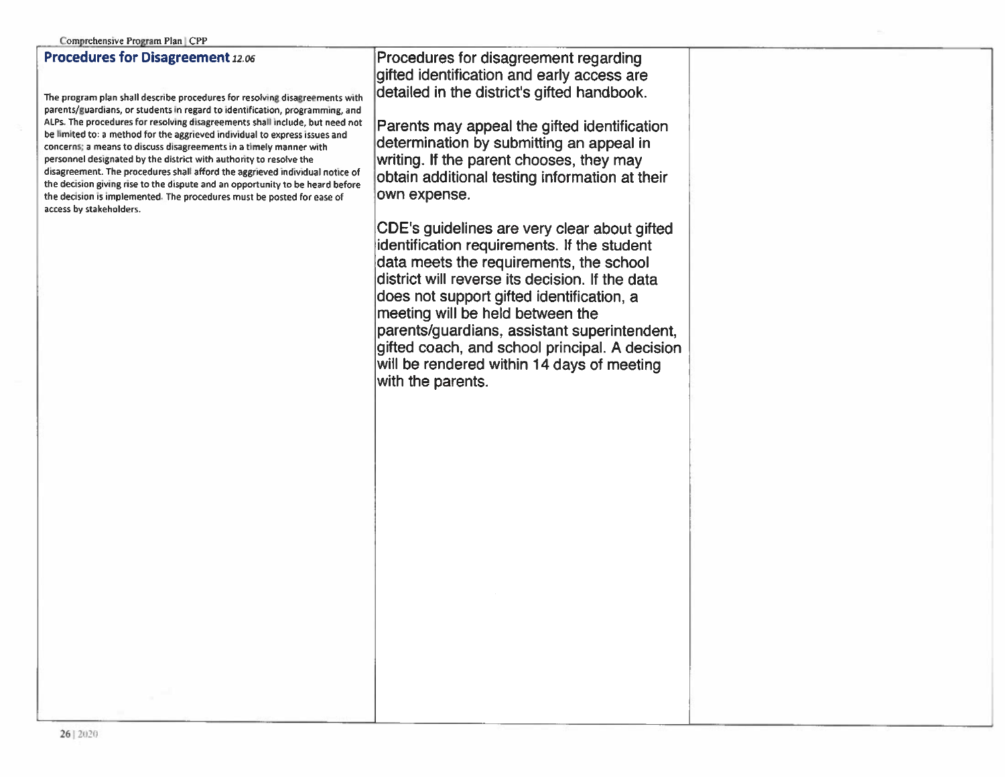## Procedures for Disagreement 12.06

The program plan shall describe procedures for resolving disagreements with parents/guardians, or students in regard to identification, programming, and ALPs. The procedures for resolving disagreements shall include, but need not be limited to: a method for the aggrieved individual to express issues and concerns; a means to discuss disagreements in a timely manner with personnel designated by the district with authority to resolve the disagreement. The procedures shall afford the aggrieved individual notice of the decision giving rise to the dispute and an opportunity to be heard before the decision is implemented. The procedures must be posted for ease of access by stakeholders.

Procedures for disagreement regarding qifted identification and early access are detailed in the district's gifted handbook.

Parents may appeal the gifted identification determination by submitting an appeal in writing. If the parent chooses, they may obtain additional testing information at their own expense.

CDE's quidelines are very clear about gifted identification requirements. If the student data meets the requirements, the school district will reverse its decision. If the data does not support gifted identification, a meeting will be held between the parents/guardians, assistant superintendent, gifted coach, and school principal. A decision will be rendered within 14 days of meeting with the parents.